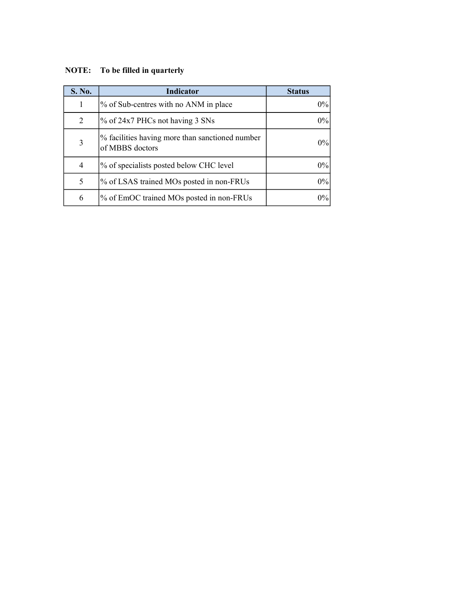## NOTE: To be filled in quarterly

| S. No.         | <b>Indicator</b>                                                   | <b>Status</b> |
|----------------|--------------------------------------------------------------------|---------------|
|                | % of Sub-centres with no ANM in place                              | 0%            |
| 2              | $\%$ of 24x7 PHCs not having 3 SNs                                 | 0%            |
| 3              | % facilities having more than sanctioned number<br>of MBBS doctors | $0\%$         |
| $\overline{4}$ | % of specialists posted below CHC level                            | $0\%$         |
| 5              | % of LSAS trained MOs posted in non-FRUs                           | $0\%$         |
| 6              | % of EmOC trained MOs posted in non-FRUs                           | $0\%$         |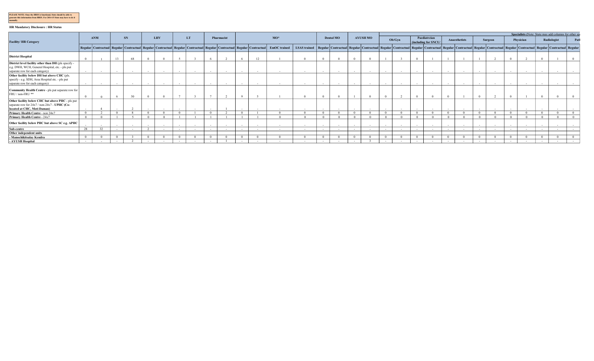| PLEASE NOTE: Once the HRIS is functional, State should be able to        |
|--------------------------------------------------------------------------|
| generate this information from HRIS. For 2014-15 State may have to do it |
| manually.                                                                |

## HR Mandatory Disclosure : HR Status

|                                                                                                                                            |    |        |          |    |            |            |                 |                                                                                                                                                                                                                              |          |            |                   |                     |                                                                                                                                                                                                                              |            |           |            |                 |            |        |                          |                                      |        |                    |            |                  |          | Specialists (Note: State may add columns for other spe |          |             |        |
|--------------------------------------------------------------------------------------------------------------------------------------------|----|--------|----------|----|------------|------------|-----------------|------------------------------------------------------------------------------------------------------------------------------------------------------------------------------------------------------------------------------|----------|------------|-------------------|---------------------|------------------------------------------------------------------------------------------------------------------------------------------------------------------------------------------------------------------------------|------------|-----------|------------|-----------------|------------|--------|--------------------------|--------------------------------------|--------|--------------------|------------|------------------|----------|--------------------------------------------------------|----------|-------------|--------|
| <b>Facility/HR Category</b>                                                                                                                |    | ANM    |          | SN |            | <b>LHV</b> |                 | LT.                                                                                                                                                                                                                          |          | Pharmacist |                   | $MO^*$              |                                                                                                                                                                                                                              |            | Dental MO |            | <b>AYUSH MO</b> |            | Ob/Gvn |                          | Paediatrcian<br>(including for SNCU/ |        | Anaesthetists      |            | Surgeon          |          | Physician                                              |          | Radiologist |        |
|                                                                                                                                            |    |        |          |    |            |            |                 | Regular   Contractual   Regular   Contractual   Regular   Contractual   Regular   Contractual   Regular   Contractual   Regular   Contractual   Regular   Contractual   Regular   Contractual   Regular   Contractual   Regu |          |            |                   | <b>EmOC</b> trained | LSAS trained   Regular   Contractual   Regular   Contractual   Regular   Contractual   Regular   Contractual   Regular   Contractual   Regular   Contractual   Regular   Contractual   Regular   Contractual   Regular   Con |            |           |            |                 |            |        |                          |                                      |        |                    |            |                  |          |                                                        |          |             |        |
| <b>District Hospital</b>                                                                                                                   |    |        |          | 68 |            |            |                 |                                                                                                                                                                                                                              |          |            | 12                |                     |                                                                                                                                                                                                                              |            |           |            |                 |            |        |                          |                                      |        |                    |            |                  |          |                                                        |          |             |        |
| District level facility other than DH (pls specify -<br>e.g. DWH, WCH, General Hospital, etc. - pls put<br>separate row for each category) |    | $\sim$ |          |    | $\sim$     | $\sim$     | $\sim 100$      | $\sim$ 100 $\mu$                                                                                                                                                                                                             |          | $\sim$     | $\sim$ 100 $\sim$ |                     |                                                                                                                                                                                                                              |            |           |            | $\sim$          | $\sim$     | $\sim$ | <b>Contract Contract</b> |                                      |        | $\sim 100$         |            | $\sim$ 100 $\mu$ | $\sim$   |                                                        |          |             |        |
| Other facility below DH but above CHC (pls.<br>specify - e.g. SDH, Area Hospital etc. - pls put<br>separate row for each category)         |    | $\sim$ |          |    | $\sim$     | $\sim$     | <b>Contract</b> | $\sim$                                                                                                                                                                                                                       |          | $\sim$     | $\sim$            |                     | $\sim$                                                                                                                                                                                                                       |            | $\sim$    | $\sim$     | $\sim$          | $\sim$     | $\sim$ | $\sim$                   |                                      |        | $\sim$             | $\sim$     | $\sim$           | $\sim$   |                                                        |          | $\sim$      | $\sim$ |
| Community Health Centre - pls put separate row for<br>FRU / non-FRU **                                                                     |    |        |          | 20 |            |            |                 |                                                                                                                                                                                                                              |          |            |                   |                     |                                                                                                                                                                                                                              |            |           |            |                 |            |        |                          |                                      |        |                    |            |                  |          |                                                        |          |             |        |
| Other facility below CHC but above PHC - pls put<br>separate row for 24x7 / non-24x7 - UPHC (Co-<br>located at CHC, Moti Daman)            |    |        |          |    | $\sim$ $-$ | $\sim$     | <b>Contract</b> | $\sim$ 100 $\mu$                                                                                                                                                                                                             | $\sim$   |            | $\sim$ 100 $\sim$ |                     | $\sim$                                                                                                                                                                                                                       | $\sim$     | $\sim$    | $\sim$ $-$ | $\sim$ $\sim$   | $\sim 100$ | $-$    | $\sim 100$               | $\sim$                               | $\sim$ | <b>State State</b> | $\sim$ $-$ | $\sim 100$       | $\sim$   |                                                        |          | $\sim$      |        |
| Primary Health Centre - non 24x7                                                                                                           |    |        | $\Omega$ |    |            | $\sqrt{ }$ | $\Omega$        |                                                                                                                                                                                                                              | $\Omega$ |            |                   |                     |                                                                                                                                                                                                                              | $\sqrt{ }$ |           |            |                 | $\Omega$   |        |                          |                                      |        |                    |            |                  | $\Omega$ |                                                        | $\Omega$ |             |        |
| Primary Health Centre - 24x7                                                                                                               |    |        |          |    |            | $\Omega$   |                 |                                                                                                                                                                                                                              |          |            |                   |                     |                                                                                                                                                                                                                              | $\Omega$   |           |            |                 |            |        |                          |                                      |        | $\sqrt{ }$         | $\Omega$   |                  |          |                                                        |          |             |        |
| Other facility below PHC but above SC e.g. APHC                                                                                            |    |        |          |    |            |            | $\sim$          |                                                                                                                                                                                                                              |          |            | $\sim$            |                     |                                                                                                                                                                                                                              |            |           |            |                 |            |        | $\sim$                   |                                      |        |                    |            | $\sim$           | $\sim$   |                                                        |          |             |        |
| Sub-centre                                                                                                                                 | 28 | 32     |          |    |            |            |                 |                                                                                                                                                                                                                              |          |            | $\sim$            |                     |                                                                                                                                                                                                                              |            |           |            |                 |            |        |                          |                                      |        |                    |            | $\sim$           |          |                                                        |          |             |        |
| Other independent units                                                                                                                    |    |        |          |    |            |            |                 |                                                                                                                                                                                                                              |          |            |                   |                     |                                                                                                                                                                                                                              |            |           |            |                 |            |        |                          |                                      |        |                    |            |                  |          |                                                        |          |             |        |
| - Manochikitsalay Kendra                                                                                                                   |    |        |          |    |            |            |                 |                                                                                                                                                                                                                              |          |            | $\sqrt{ }$        |                     |                                                                                                                                                                                                                              | $\sqrt{ }$ |           |            |                 |            |        |                          |                                      |        |                    |            |                  |          |                                                        |          |             |        |
| - AYUSH Hospital                                                                                                                           |    |        |          |    |            | $\sim$     | $\sim$          |                                                                                                                                                                                                                              |          |            | $\sim$            |                     |                                                                                                                                                                                                                              | $\sim$     |           |            |                 |            |        |                          |                                      |        | $\sim$             |            | $\sim$           | $\sim$   |                                                        |          |             |        |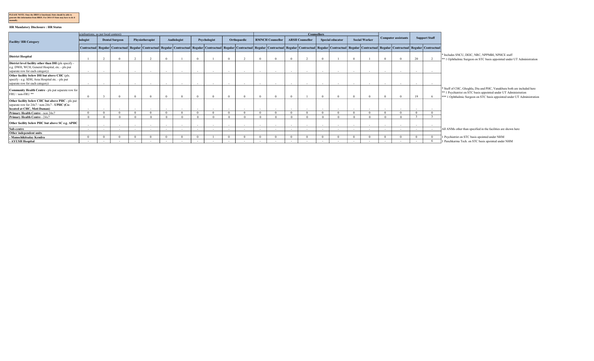|           | PLEASE NOTE: Once the HRIS is functional, State should be able to |  |                                                                          |  |
|-----------|-------------------------------------------------------------------|--|--------------------------------------------------------------------------|--|
|           |                                                                   |  | generate this information from HRIS. For 2014-15 State may have to do it |  |
| manually. |                                                                   |  |                                                                          |  |

## HR Mandatory Disclosure : HR Status

|                                                                                                                                            |                    | ecialisations, as per local context) |                                                                                                                                                                                                                            |                          |                          |                    |                    |        |              |                          |                          |          |                         |        | <b>Counsellors</b>                   |          |                          |                          |                      |        |                            |        |                      |                                                                                                                                                                                                                       |
|--------------------------------------------------------------------------------------------------------------------------------------------|--------------------|--------------------------------------|----------------------------------------------------------------------------------------------------------------------------------------------------------------------------------------------------------------------------|--------------------------|--------------------------|--------------------|--------------------|--------|--------------|--------------------------|--------------------------|----------|-------------------------|--------|--------------------------------------|----------|--------------------------|--------------------------|----------------------|--------|----------------------------|--------|----------------------|-----------------------------------------------------------------------------------------------------------------------------------------------------------------------------------------------------------------------|
| <b>Facility/HR Category</b>                                                                                                                | hologist           |                                      | <b>Dental Surgeon</b>                                                                                                                                                                                                      |                          | Physiotherapist          |                    | <b>Audiologist</b> |        | Psychologist |                          | Orthopaedic              |          | <b>RMNCH Counsellor</b> |        | <b>ARSH Counsellor</b>               |          | Special educator         |                          | <b>Social Worker</b> |        | <b>Computer assistants</b> |        | <b>Support Staff</b> |                                                                                                                                                                                                                       |
|                                                                                                                                            |                    |                                      | Contractual  Regular  Contractual  Regular  Contractual  Regular  Contractual  Regular  Contractual  Regular  Contractual  Regular  Contractual  Regular  Contractual  Regular  Contractual  Regular  Contractual  Regular |                          |                          |                    |                    |        |              |                          |                          |          |                         |        |                                      |          |                          |                          |                      |        |                            |        |                      |                                                                                                                                                                                                                       |
| <b>District Hospital</b>                                                                                                                   |                    |                                      |                                                                                                                                                                                                                            |                          |                          |                    |                    |        |              |                          |                          |          |                         |        |                                      |          |                          |                          |                      |        |                            | 20     |                      | * Includes SNCU, DEIC, NRC, NPPMBI, NPHCE staff<br><sup>**</sup> 1 Ophthalmic Surgeon on STC basis appointed under UT Administration                                                                                  |
| District level facility other than DH (pls specify -<br>e.g. DWH, WCH, General Hospital, etc. - pls put<br>separate row for each category) | $\sim$             |                                      |                                                                                                                                                                                                                            |                          |                          |                    |                    |        |              |                          | $\overline{\phantom{a}}$ | $\sim$   |                         |        |                                      |          |                          |                          |                      |        |                            |        |                      |                                                                                                                                                                                                                       |
| Other facility below DH but above CHC (pls.<br>specify - e.g. SDH, Area Hospital etc. - pls put<br>separate row for each category)         | $\sim$             | $\sim$ $-$                           | $\sim$                                                                                                                                                                                                                     | $\sim$                   | $\overline{\phantom{a}}$ | $\sim$             | $\sim$             | $\sim$ | $\sim$       | $\sim$                   | $\sim$                   | $\sim$   |                         | $\sim$ | $\overline{\phantom{a}}$             | $\sim$   | $\sim$                   | $\overline{\phantom{0}}$ |                      |        | $\sim$                     | $\sim$ |                      |                                                                                                                                                                                                                       |
| Community Health Centre - pls put separate row for<br>FRU / non-FRU **                                                                     |                    |                                      |                                                                                                                                                                                                                            |                          |                          |                    |                    |        |              |                          |                          |          |                         |        |                                      |          |                          |                          |                      |        |                            | 19     |                      | * Staff of CHC, Ghoghla, Diu and PHC, Vanakbara both are included here<br>** 1 Psychiatrist on STC basis appointed under UT Administration<br>*** 1 Ophthalmic Surgeon on STC basis appointed under UT Administration |
| Other facility below CHC but above PHC - pls put<br>separate row for 24x7 / non-24x7 - UPHC (Co-                                           |                    |                                      |                                                                                                                                                                                                                            |                          |                          |                    |                    |        |              |                          |                          |          |                         |        |                                      |          |                          |                          |                      |        |                            |        |                      |                                                                                                                                                                                                                       |
| located at CHC, Moti Daman)                                                                                                                | $\sim$<br>$\Omega$ | $\sim$                               |                                                                                                                                                                                                                            | $\overline{\phantom{a}}$ |                          | $\sim$<br>$\Omega$ | $\Omega$           |        |              |                          | $\overline{\phantom{a}}$ | $\sim$   |                         |        | $\overline{\phantom{a}}$<br>$\Omega$ | $\sim$   | $\overline{\phantom{a}}$ | $\Omega$                 |                      |        | $\overline{\phantom{a}}$   | $\sim$ |                      |                                                                                                                                                                                                                       |
| Primary Health Centre - non 24x7<br>Primary Health Centre - 24x7                                                                           |                    | $\Omega$                             |                                                                                                                                                                                                                            |                          |                          |                    |                    |        |              | $\Omega$                 |                          |          |                         |        |                                      | $\Omega$ |                          |                          |                      |        | $\Omega$                   |        |                      |                                                                                                                                                                                                                       |
| Other facility below PHC but above SC e.g. APHC                                                                                            |                    |                                      |                                                                                                                                                                                                                            |                          |                          |                    |                    |        |              |                          |                          | $\sim$   |                         |        |                                      |          |                          |                          |                      |        |                            |        |                      |                                                                                                                                                                                                                       |
| Sub-centre                                                                                                                                 | $\sim$             | $\sim$                               |                                                                                                                                                                                                                            |                          |                          | $\sim$             |                    |        |              |                          | $\sim$                   | $\sim$   |                         |        |                                      | $\sim$   |                          |                          |                      |        |                            |        |                      | All ANMs other than specified in the facilities are shown here                                                                                                                                                        |
| Other independent units                                                                                                                    |                    |                                      |                                                                                                                                                                                                                            |                          |                          |                    |                    |        |              |                          |                          |          |                         |        |                                      |          |                          |                          |                      |        |                            |        |                      |                                                                                                                                                                                                                       |
| - Manochikitsalav Kendra                                                                                                                   | $\Omega$           |                                      |                                                                                                                                                                                                                            | $\Omega$                 |                          | $\Omega$           | $\Omega$           |        |              |                          |                          | $\Omega$ |                         |        | $\Omega$                             |          |                          | $\Omega$                 |                      |        | $\sqrt{ }$                 |        |                      | 1 Psychiatrist on STC basis apointed under NHM                                                                                                                                                                        |
| - AYUSH Hospital                                                                                                                           | $\sim$             | $\sim$ $-$                           |                                                                                                                                                                                                                            | $\sim$                   | $\overline{\phantom{a}}$ | $\sim$             | $\sim$             |        |              | $\overline{\phantom{a}}$ | $\overline{\phantom{a}}$ | $\sim$   | $\sim$                  | $\sim$ | $\sim$                               | $\sim$   | $\sim$                   |                          |                      | $\sim$ | $\sim$                     |        |                      | 1 Panchkarma Tech. on STC basis apointed under NHM                                                                                                                                                                    |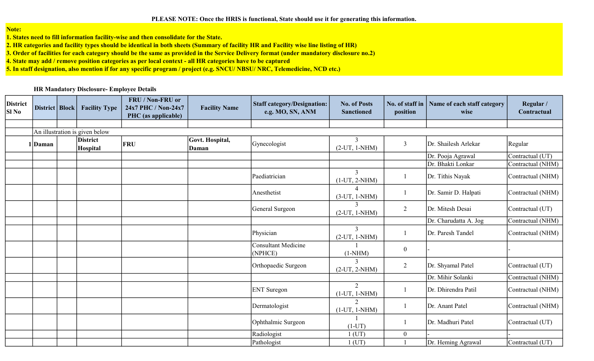PLEASE NOTE: Once the HRIS is functional, State should use it for generating this information.

Note:

1. States need to fill information facility-wise and then consolidate for the State.

2. HR categories and facility types should be identical in both sheets (Summary of facility HR and Facility wise line listing of HR)

3. Order of facilities for each category should be the same as provided in the Service Delivery format (under mandatory disclosure no.2)

4. State may add / remove position categories as per local context - all HR categories have to be captured

5. In staff designation, also mention if for any specific program / project (e.g. SNCU/ NBSU/ NRC, Telemedicine, NCD etc.)

## HR Mandatory Disclosure- Employee Details

| <b>District</b><br>Sl No | District   Block | <b>Facility Type</b>           | FRU / Non-FRU or<br>24x7 PHC / Non-24x7<br>PHC (as applicable) | <b>Facility Name</b>     | <b>Staff category/Designation:</b><br>e.g. MO, SN, ANM | <b>No. of Posts</b><br><b>Sanctioned</b>       | No. of staff in<br>position | Name of each staff category<br>wise | Regular /<br>Contractual |
|--------------------------|------------------|--------------------------------|----------------------------------------------------------------|--------------------------|--------------------------------------------------------|------------------------------------------------|-----------------------------|-------------------------------------|--------------------------|
|                          |                  |                                |                                                                |                          |                                                        |                                                |                             |                                     |                          |
|                          |                  | An illustration is given below |                                                                |                          |                                                        |                                                |                             |                                     |                          |
|                          | 1   Daman        | <b>District</b><br>Hospital    | <b>FRU</b>                                                     | Govt. Hospital,<br>Daman | Gynecologist                                           | 3<br>$(2-UT, 1-NHM)$                           | 3                           | Dr. Shailesh Arlekar                | Regular                  |
|                          |                  |                                |                                                                |                          |                                                        |                                                |                             | Dr. Pooja Agrawal                   | Contractual (UT)         |
|                          |                  |                                |                                                                |                          |                                                        |                                                |                             | Dr. Bhakti Lonkar                   | Contractual (NHM)        |
|                          |                  |                                |                                                                |                          | Paediatrician                                          | 3<br>$(1-UT, 2-NHM)$                           |                             | Dr. Tithis Nayak                    | Contractual (NHM)        |
|                          |                  |                                |                                                                |                          | Anesthetist                                            | $(3-UT, 1-NHM)$                                |                             | Dr. Samir D. Halpati                | Contractual (NHM)        |
|                          |                  |                                |                                                                |                          | General Surgeon                                        | $\mathbf{3}$<br>$(2-UT, 1-NHM)$                | $\overline{2}$              | Dr. Mitesh Desai                    | Contractual (UT)         |
|                          |                  |                                |                                                                |                          |                                                        |                                                |                             | Dr. Charudatta A. Jog               | Contractual (NHM)        |
|                          |                  |                                |                                                                |                          | Physician                                              | $\overline{3}$<br>$(2-UT, 1-NHM)$              |                             | Dr. Paresh Tandel                   | Contractual (NHM)        |
|                          |                  |                                |                                                                |                          | <b>Consultant Medicine</b><br>(NPHCE)                  | $(1-NHM)$                                      | $\boldsymbol{0}$            |                                     |                          |
|                          |                  |                                |                                                                |                          | Orthopaedic Surgeon                                    | $\mathbf{3}$<br>$(2-UT, 2-NHM)$                | $\overline{2}$              | Dr. Shyamal Patel                   | Contractual (UT)         |
|                          |                  |                                |                                                                |                          |                                                        |                                                |                             | Dr. Mihir Solanki                   | Contractual (NHM)        |
|                          |                  |                                |                                                                |                          | <b>ENT</b> Suregon                                     | $\overline{2}$<br>$(1-UT, 1-NHM)$              |                             | Dr. Dhirendra Patil                 | Contractual (NHM)        |
|                          |                  |                                |                                                                |                          | Dermatologist                                          | $\mathcal{D}_{\mathcal{L}}$<br>$(1-UT, 1-NHM)$ |                             | Dr. Anant Patel                     | Contractual (NHM)        |
|                          |                  |                                |                                                                |                          | Ophthalmic Surgeon                                     | $(1-UT)$                                       |                             | Dr. Madhuri Patel                   | Contractual (UT)         |
|                          |                  |                                |                                                                |                          | Radiologist                                            | 1 (UT)                                         | $\boldsymbol{0}$            |                                     |                          |
|                          |                  |                                |                                                                |                          | Pathologist                                            | $1$ (UT)                                       |                             | Dr. Heming Agrawal                  | Contractual (UT)         |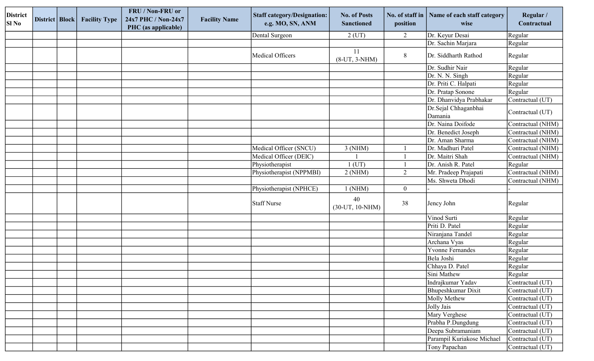| <b>District</b><br><b>SI No</b> | District   Block | <b>Facility Type</b> | FRU / Non-FRU or<br>24x7 PHC / Non-24x7<br>PHC (as applicable) | <b>Facility Name</b> | <b>Staff category/Designation:</b><br>e.g. MO, SN, ANM | <b>No. of Posts</b><br><b>Sanctioned</b> | No. of staff in<br>position | Name of each staff category<br>wise | Regular /<br>Contractual      |
|---------------------------------|------------------|----------------------|----------------------------------------------------------------|----------------------|--------------------------------------------------------|------------------------------------------|-----------------------------|-------------------------------------|-------------------------------|
|                                 |                  |                      |                                                                |                      | Dental Surgeon                                         | $2$ (UT)                                 | 2                           | Dr. Keyur Desai                     | Regular                       |
|                                 |                  |                      |                                                                |                      |                                                        |                                          |                             | Dr. Sachin Marjara                  | Regular                       |
|                                 |                  |                      |                                                                |                      | Medical Officers                                       | 11<br>$(8-UT, 3-NHM)$                    | $8\phantom{.}$              | Dr. Siddharth Rathod                | Regular                       |
|                                 |                  |                      |                                                                |                      |                                                        |                                          |                             | Dr. Sudhir Nair                     | Regular                       |
|                                 |                  |                      |                                                                |                      |                                                        |                                          |                             | Dr. N. N. Singh                     | Regular                       |
|                                 |                  |                      |                                                                |                      |                                                        |                                          |                             | Dr. Priti C. Halpati                | Regular                       |
|                                 |                  |                      |                                                                |                      |                                                        |                                          |                             | Dr. Pratap Sonone                   | Regular                       |
|                                 |                  |                      |                                                                |                      |                                                        |                                          |                             | Dr. Dhanvidya Prabhakar             | Contractual (UT)              |
|                                 |                  |                      |                                                                |                      |                                                        |                                          |                             | Dr.Sejal Chhaganbhai<br>Damania     | Contractual (UT)              |
|                                 |                  |                      |                                                                |                      |                                                        |                                          |                             | Dr. Naina Doifode                   | Contractual (NHM)             |
|                                 |                  |                      |                                                                |                      |                                                        |                                          |                             | Dr. Benedict Joseph                 | Contractual (NHM)             |
|                                 |                  |                      |                                                                |                      |                                                        |                                          |                             | Dr. Aman Sharma                     | Contractual (NHM)             |
|                                 |                  |                      |                                                                |                      | Medical Officer (SNCU)                                 | $3$ (NHM)                                |                             | Dr. Madhuri Patel                   | Contractual (NHM)             |
|                                 |                  |                      |                                                                |                      | Medical Officer (DEIC)                                 |                                          |                             | Dr. Maitri Shah                     | Contractual (NHM)             |
|                                 |                  |                      |                                                                |                      | Physiotherapist                                        | $1$ (UT)                                 |                             | Dr. Anish R. Patel                  | Regular                       |
|                                 |                  |                      |                                                                |                      | Physiotherapist (NPPMBI)                               | 2(NHM)                                   | $\overline{2}$              | Mr. Pradeep Prajapati               | Contractual (NHM)             |
|                                 |                  |                      |                                                                |                      |                                                        |                                          |                             | Ms. Shweta Dhodi                    | Contractual (NHM)             |
|                                 |                  |                      |                                                                |                      | Physiotherapist (NPHCE)                                | $1$ (NHM)                                | $\boldsymbol{0}$            |                                     |                               |
|                                 |                  |                      |                                                                |                      | Staff Nurse                                            | 40<br>$(30-UT, 10-NHM)$                  | 38                          | Jency John                          | Regular                       |
|                                 |                  |                      |                                                                |                      |                                                        |                                          |                             | Vinod Surti                         | Regular                       |
|                                 |                  |                      |                                                                |                      |                                                        |                                          |                             | Priti D. Patel                      | Regular                       |
|                                 |                  |                      |                                                                |                      |                                                        |                                          |                             | Niranjana Tandel                    | Regular                       |
|                                 |                  |                      |                                                                |                      |                                                        |                                          |                             | Archana Vyas                        | Regular                       |
|                                 |                  |                      |                                                                |                      |                                                        |                                          |                             | Yvonne Fernandes                    | Regular                       |
|                                 |                  |                      |                                                                |                      |                                                        |                                          |                             | Bela Joshi                          | Regular                       |
|                                 |                  |                      |                                                                |                      |                                                        |                                          |                             | Chhaya D. Patel                     | Regular                       |
|                                 |                  |                      |                                                                |                      |                                                        |                                          |                             | Sini Mathew                         | Regular                       |
|                                 |                  |                      |                                                                |                      |                                                        |                                          |                             | Indrajkumar Yadav                   | Contractual (UT)              |
|                                 |                  |                      |                                                                |                      |                                                        |                                          |                             | Bhupeshkumar Dixit                  | Contractual (UT)              |
|                                 |                  |                      |                                                                |                      |                                                        |                                          |                             | Molly Methew                        | Contractual (UT)              |
|                                 |                  |                      |                                                                |                      |                                                        |                                          |                             | Jolly Jais                          | Contractual (UT)              |
|                                 |                  |                      |                                                                |                      |                                                        |                                          |                             | Mary Verghese                       | Contractual (UT)              |
|                                 |                  |                      |                                                                |                      |                                                        |                                          |                             | Prabha P.Dungdung                   | Contractual (UT)              |
|                                 |                  |                      |                                                                |                      |                                                        |                                          |                             | Deepa Subramaniam                   | Contractual (UT)              |
|                                 |                  |                      |                                                                |                      |                                                        |                                          |                             | Parampil Kuriakose Michael          | Contractual $(\overline{UT)}$ |
|                                 |                  |                      |                                                                |                      |                                                        |                                          |                             | Tony Papachan                       | Contractual (UT)              |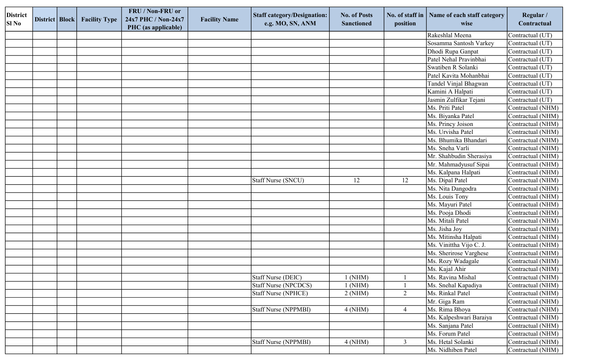| <b>District</b><br><b>SI No</b> | District   Block | <b>Facility Type</b> | FRU / Non-FRU or<br>24x7 PHC / Non-24x7<br>PHC (as applicable) | <b>Facility Name</b> | <b>Staff category/Designation:</b><br>e.g. MO, SN, ANM | <b>No. of Posts</b><br><b>Sanctioned</b> | No. of staff in<br>position | Name of each staff category<br>wise | Regular /<br>Contractual |
|---------------------------------|------------------|----------------------|----------------------------------------------------------------|----------------------|--------------------------------------------------------|------------------------------------------|-----------------------------|-------------------------------------|--------------------------|
|                                 |                  |                      |                                                                |                      |                                                        |                                          |                             | Rakeshlal Meena                     | Contractual (UT)         |
|                                 |                  |                      |                                                                |                      |                                                        |                                          |                             | Sosamma Santosh Varkey              | Contractual (UT)         |
|                                 |                  |                      |                                                                |                      |                                                        |                                          |                             | Dhodi Rupa Ganpat                   | Contractual (UT)         |
|                                 |                  |                      |                                                                |                      |                                                        |                                          |                             | Patel Nehal Pravinbhai              | Contractual (UT)         |
|                                 |                  |                      |                                                                |                      |                                                        |                                          |                             | Swatiben R Solanki                  | Contractual (UT)         |
|                                 |                  |                      |                                                                |                      |                                                        |                                          |                             | Patel Kavita Mohanbhai              | Contractual (UT)         |
|                                 |                  |                      |                                                                |                      |                                                        |                                          |                             | Tandel Vinjal Bhagwan               | Contractual (UT)         |
|                                 |                  |                      |                                                                |                      |                                                        |                                          |                             | Kamini A Halpati                    | Contractual (UT)         |
|                                 |                  |                      |                                                                |                      |                                                        |                                          |                             | Jasmin Zulfikar Tejani              | Contractual (UT)         |
|                                 |                  |                      |                                                                |                      |                                                        |                                          |                             | Ms. Priti Patel                     | Contractual (NHM)        |
|                                 |                  |                      |                                                                |                      |                                                        |                                          |                             | Ms. Biyanka Patel                   | Contractual (NHM)        |
|                                 |                  |                      |                                                                |                      |                                                        |                                          |                             | Ms. Princy Joison                   | Contractual (NHM)        |
|                                 |                  |                      |                                                                |                      |                                                        |                                          |                             | Ms. Urvisha Patel                   | Contractual (NHM)        |
|                                 |                  |                      |                                                                |                      |                                                        |                                          |                             | Ms. Bhumika Bhandari                | Contractual (NHM)        |
|                                 |                  |                      |                                                                |                      |                                                        |                                          |                             | Ms. Sneha Varli                     | Contractual (NHM)        |
|                                 |                  |                      |                                                                |                      |                                                        |                                          |                             | Mr. Shahbudin Sherasiya             | Contractual (NHM)        |
|                                 |                  |                      |                                                                |                      |                                                        |                                          |                             | Mr. Mahmadyusuf Sipai               | Contractual (NHM)        |
|                                 |                  |                      |                                                                |                      |                                                        |                                          |                             | Ms. Kalpana Halpati                 | Contractual (NHM)        |
|                                 |                  |                      |                                                                |                      | <b>Staff Nurse (SNCU)</b>                              | 12                                       | 12                          | Ms. Dipal Patel                     | Contractual (NHM)        |
|                                 |                  |                      |                                                                |                      |                                                        |                                          |                             | Ms. Nita Dangodra                   | Contractual (NHM)        |
|                                 |                  |                      |                                                                |                      |                                                        |                                          |                             | Ms. Louis Tony                      | Contractual (NHM)        |
|                                 |                  |                      |                                                                |                      |                                                        |                                          |                             | Ms. Mayuri Patel                    | Contractual (NHM)        |
|                                 |                  |                      |                                                                |                      |                                                        |                                          |                             | Ms. Pooja Dhodi                     | Contractual (NHM)        |
|                                 |                  |                      |                                                                |                      |                                                        |                                          |                             | Ms. Mitali Patel                    | Contractual (NHM)        |
|                                 |                  |                      |                                                                |                      |                                                        |                                          |                             | Ms. Jisha Joy                       | Contractual (NHM)        |
|                                 |                  |                      |                                                                |                      |                                                        |                                          |                             | Ms. Mitinsha Halpati                | Contractual (NHM)        |
|                                 |                  |                      |                                                                |                      |                                                        |                                          |                             | Ms. Vinittha Vijo C. J.             | Contractual (NHM)        |
|                                 |                  |                      |                                                                |                      |                                                        |                                          |                             | Ms. Sherirose Varghese              | Contractual (NHM)        |
|                                 |                  |                      |                                                                |                      |                                                        |                                          |                             | Ms. Rozy Wadagale                   | Contractual (NHM)        |
|                                 |                  |                      |                                                                |                      |                                                        |                                          |                             | Ms. Kajal Ahir                      | Contractual (NHM)        |
|                                 |                  |                      |                                                                |                      | Staff Nurse (DEIC)                                     | $1$ (NHM)                                |                             | Ms. Ravina Mishal                   | Contractual (NHM)        |
|                                 |                  |                      |                                                                |                      | <b>Staff Nurse (NPCDCS)</b>                            | $1$ (NHM)                                |                             | Ms. Snehal Kapadiya                 | Contractual (NHM)        |
|                                 |                  |                      |                                                                |                      | <b>Staff Nurse (NPHCE)</b>                             | 2(NHM)                                   | $\overline{2}$              | Ms. Rinkal Patel                    | Contractual (NHM)        |
|                                 |                  |                      |                                                                |                      |                                                        |                                          |                             | Mr. Giga Ram                        | Contractual (NHM)        |
|                                 |                  |                      |                                                                |                      | Staff Nurse (NPPMBI)                                   | 4(NHM)                                   | $\overline{4}$              | Ms. Rima Bhoya                      | Contractual (NHM)        |
|                                 |                  |                      |                                                                |                      |                                                        |                                          |                             | Ms. Kalpeshwari Baraiya             | Contractual (NHM)        |
|                                 |                  |                      |                                                                |                      |                                                        |                                          |                             | Ms. Sanjana Patel                   | Contractual (NHM)        |
|                                 |                  |                      |                                                                |                      |                                                        |                                          |                             | Ms. Forum Patel                     | Contractual (NHM)        |
|                                 |                  |                      |                                                                |                      | Staff Nurse (NPPMBI)                                   | $4$ (NHM)                                | $\mathfrak{Z}$              | Ms. Hetal Solanki                   | Contractual (NHM)        |
|                                 |                  |                      |                                                                |                      |                                                        |                                          |                             | Ms. Nidhiben Patel                  | Contractual (NHM)        |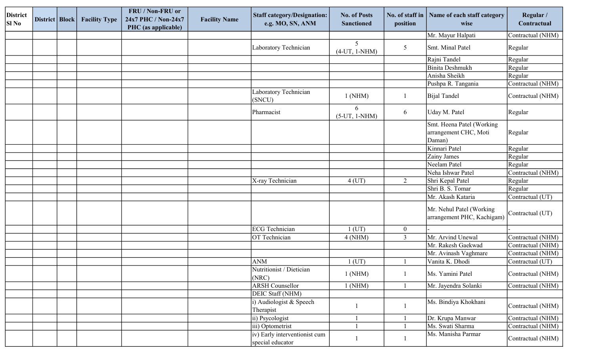| <b>District</b><br><b>SI</b> No | District   Block | <b>Facility Type</b> | FRU / Non-FRU or<br>24x7 PHC / Non-24x7<br>PHC (as applicable) | <b>Facility Name</b> | <b>Staff category/Designation:</b><br>e.g. MO, SN, ANM | <b>No. of Posts</b><br><b>Sanctioned</b> | No. of staff in<br>position | Name of each staff category<br>wise                          | Regular /<br>Contractual |
|---------------------------------|------------------|----------------------|----------------------------------------------------------------|----------------------|--------------------------------------------------------|------------------------------------------|-----------------------------|--------------------------------------------------------------|--------------------------|
|                                 |                  |                      |                                                                |                      |                                                        |                                          |                             | Mr. Mayur Halpati                                            | Contractual (NHM)        |
|                                 |                  |                      |                                                                |                      | Laboratory Technician                                  | 5<br>$(4-UT, 1-NHM)$                     | 5                           | Smt. Minal Patel                                             | Regular                  |
|                                 |                  |                      |                                                                |                      |                                                        |                                          |                             | Rajni Tandel                                                 | Regular                  |
|                                 |                  |                      |                                                                |                      |                                                        |                                          |                             | Binita Deshmukh                                              | Regular                  |
|                                 |                  |                      |                                                                |                      |                                                        |                                          |                             | Anisha Sheikh                                                | Regular                  |
|                                 |                  |                      |                                                                |                      |                                                        |                                          |                             | Pushpa R. Tangania                                           | Contractual (NHM)        |
|                                 |                  |                      |                                                                |                      | Laboratory Technician<br>(SNCU)                        | $1$ (NHM)                                |                             | Bijal Tandel                                                 | Contractual (NHM)        |
|                                 |                  |                      |                                                                |                      | Pharmacist                                             | 6<br>$(5-UT, 1-NHM)$                     | 6                           | Uday M. Patel                                                | Regular                  |
|                                 |                  |                      |                                                                |                      |                                                        |                                          |                             | Smt. Heena Patel (Working<br>arrangement CHC, Moti<br>Daman) | Regular                  |
|                                 |                  |                      |                                                                |                      |                                                        |                                          |                             | Kinnari Patel                                                | Regular                  |
|                                 |                  |                      |                                                                |                      |                                                        |                                          |                             | Zainy James                                                  | Regular                  |
|                                 |                  |                      |                                                                |                      |                                                        |                                          |                             | Neelam Patel                                                 | Regular                  |
|                                 |                  |                      |                                                                |                      |                                                        |                                          |                             | Neha Ishwar Patel                                            | Contractual (NHM)        |
|                                 |                  |                      |                                                                |                      | X-ray Technician                                       | $4$ (UT)                                 | $\overline{2}$              | Shri Kepal Patel                                             | Regular                  |
|                                 |                  |                      |                                                                |                      |                                                        |                                          |                             | Shri B. S. Tomar                                             | Regular                  |
|                                 |                  |                      |                                                                |                      |                                                        |                                          |                             | Mr. Akash Kataria                                            | Contractual (UT)         |
|                                 |                  |                      |                                                                |                      |                                                        |                                          |                             | Mr. Nehul Patel (Working<br>arrangement PHC, Kachigam)       | Contractual (UT)         |
|                                 |                  |                      |                                                                |                      | ECG Technician                                         | $1$ (UT)                                 | $\boldsymbol{0}$            |                                                              |                          |
|                                 |                  |                      |                                                                |                      | OT Technician                                          | 4(NHM)                                   | $\overline{3}$              | Mr. Arvind Unewal                                            | Contractual (NHM)        |
|                                 |                  |                      |                                                                |                      |                                                        |                                          |                             | Mr. Rakesh Gaekwad                                           | Contractual (NHM)        |
|                                 |                  |                      |                                                                |                      |                                                        |                                          |                             | Mr. Avinash Vaghmare                                         | Contractual (NHM)        |
|                                 |                  |                      |                                                                |                      | <b>ANM</b>                                             | $1$ (UT)                                 |                             | Vanita K. Dhodi                                              | Contractual (UT)         |
|                                 |                  |                      |                                                                |                      | Nutritionist / Dietician<br>$ $ (NRC)                  | $1$ (NHM)                                |                             | Ms. Yamini Patel                                             | Contractual (NHM)        |
|                                 |                  |                      |                                                                |                      | <b>ARSH Counsellor</b>                                 | 1(NHM)                                   |                             | Mr. Jayendra Solanki                                         | Contractual (NHM)        |
|                                 |                  |                      |                                                                |                      | DEIC Staff (NHM)                                       |                                          |                             |                                                              |                          |
|                                 |                  |                      |                                                                |                      | i) Audiologist & Speech<br>Therapist                   |                                          |                             | Ms. Bindiya Khokhani                                         | Contractual (NHM)        |
|                                 |                  |                      |                                                                |                      | ii) Psycologist                                        |                                          |                             | Dr. Krupa Manwar                                             | Contractual (NHM)        |
|                                 |                  |                      |                                                                |                      | iii) Optometrist                                       |                                          |                             | Ms. Swati Sharma                                             | Contractual (NHM)        |
|                                 |                  |                      |                                                                |                      | iv) Early interventionist cum<br>special educator      |                                          |                             | Ms. Manisha Parmar                                           | Contractual (NHM)        |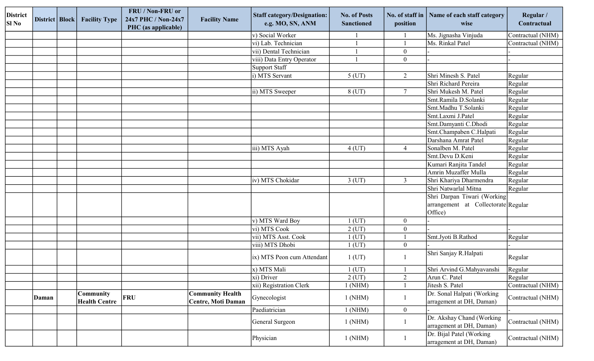| <b>District</b><br><b>SI</b> No | District   Block | <b>Facility Type</b>              | FRU / Non-FRU or<br>24x7 PHC / Non-24x7<br>PHC (as applicable) | <b>Facility Name</b>                                 | <b>Staff category/Designation:</b><br>e.g. MO, SN, ANM | <b>No. of Posts</b><br><b>Sanctioned</b> | No. of staff in<br>position | Name of each staff category<br>wise                                           | Regular /<br>Contractual |
|---------------------------------|------------------|-----------------------------------|----------------------------------------------------------------|------------------------------------------------------|--------------------------------------------------------|------------------------------------------|-----------------------------|-------------------------------------------------------------------------------|--------------------------|
|                                 |                  |                                   |                                                                |                                                      | v) Social Worker                                       |                                          |                             | Ms. Jignasha Vinjuda                                                          | Contractual (NHM)        |
|                                 |                  |                                   |                                                                |                                                      | vi) Lab. Technician                                    |                                          |                             | Ms. Rinkal Patel                                                              | Contractual (NHM)        |
|                                 |                  |                                   |                                                                |                                                      | vii) Dental Technician                                 |                                          | $\boldsymbol{0}$            |                                                                               |                          |
|                                 |                  |                                   |                                                                |                                                      | viii) Data Entry Operator                              |                                          | $\boldsymbol{0}$            |                                                                               |                          |
|                                 |                  |                                   |                                                                |                                                      | Support Staff                                          |                                          |                             |                                                                               |                          |
|                                 |                  |                                   |                                                                |                                                      | i) MTS Servant                                         | $5$ (UT)                                 | 2                           | Shri Minesh S. Patel                                                          | Regular                  |
|                                 |                  |                                   |                                                                |                                                      |                                                        |                                          |                             | Shri Richard Pereira                                                          | Regular                  |
|                                 |                  |                                   |                                                                |                                                      | ii) MTS Sweeper                                        | 8 (UT)                                   | $\tau$                      | Shri Mukesh M. Patel                                                          | Regular                  |
|                                 |                  |                                   |                                                                |                                                      |                                                        |                                          |                             | Smt.Ramila D.Solanki                                                          | Regular                  |
|                                 |                  |                                   |                                                                |                                                      |                                                        |                                          |                             | Smt.Madhu T.Solanki                                                           | Regular                  |
|                                 |                  |                                   |                                                                |                                                      |                                                        |                                          |                             | Smt.Laxmi J.Patel                                                             | Regular                  |
|                                 |                  |                                   |                                                                |                                                      |                                                        |                                          |                             | Smt.Damyanti C.Dhodi                                                          | Regular                  |
|                                 |                  |                                   |                                                                |                                                      |                                                        |                                          |                             | Smt.Champaben C.Halpati                                                       | Regular                  |
|                                 |                  |                                   |                                                                |                                                      |                                                        |                                          |                             | Darshana Amrat Patel                                                          | Regular                  |
|                                 |                  |                                   |                                                                |                                                      | iii) MTS Ayah                                          | $4$ (UT)                                 | $\overline{4}$              | Sonalben M. Patel                                                             | Regular                  |
|                                 |                  |                                   |                                                                |                                                      |                                                        |                                          |                             | Smt.Devu D.Keni                                                               | Regular                  |
|                                 |                  |                                   |                                                                |                                                      |                                                        |                                          |                             | Kumari Ranjita Tandel                                                         | Regular                  |
|                                 |                  |                                   |                                                                |                                                      |                                                        |                                          |                             | Amrin Muzaffer Mulla                                                          | Regular                  |
|                                 |                  |                                   |                                                                |                                                      | iv) MTS Chokidar                                       | $3$ (UT)                                 | $\mathfrak{Z}$              | Shri Khariya Dharmendra                                                       | Regular                  |
|                                 |                  |                                   |                                                                |                                                      |                                                        |                                          |                             | Shri Natwarlal Mitna                                                          | Regular                  |
|                                 |                  |                                   |                                                                |                                                      |                                                        |                                          |                             | Shri Darpan Tiwari (Working<br>arrangement at Collectorate Regular<br>Office) |                          |
|                                 |                  |                                   |                                                                |                                                      | v) MTS Ward Boy                                        | $1$ (UT)                                 | $\boldsymbol{0}$            |                                                                               |                          |
|                                 |                  |                                   |                                                                |                                                      | vi) MTS Cook                                           | $2$ (UT)                                 | $\boldsymbol{0}$            |                                                                               |                          |
|                                 |                  |                                   |                                                                |                                                      | vii) MTS Asst. Cook                                    | $1$ (UT)                                 |                             | Smt.Jyoti B.Rathod                                                            | Regular                  |
|                                 |                  |                                   |                                                                |                                                      | viii) MTS Dhobi                                        | 1 (UT)                                   | $\boldsymbol{0}$            |                                                                               |                          |
|                                 |                  |                                   |                                                                |                                                      | ix) MTS Peon cum Attendant                             | 1 (UT)                                   |                             | Shri Sanjay R.Halpati                                                         | Regular                  |
|                                 |                  |                                   |                                                                |                                                      | x) MTS Mali                                            | 1 (UT)                                   |                             | Shri Arvind G.Mahyavanshi                                                     | Regular                  |
|                                 |                  |                                   |                                                                |                                                      | $\overline{xi}$ ) Driver                               | $2$ (UT)                                 | $\overline{2}$              | Arun C. Patel                                                                 | Regular                  |
|                                 |                  |                                   |                                                                |                                                      | xii) Registration Clerk                                | $1$ (NHM)                                |                             | Jitesh S. Patel                                                               | Contractual (NHM)        |
|                                 | Daman            | Community<br><b>Health Centre</b> | <b>FRU</b>                                                     | <b>Community Health</b><br><b>Centre, Moti Daman</b> | Gynecologist                                           | 1(NHM)                                   | $\mathbf{1}$                | Dr. Sonal Halpati (Working<br>arragement at DH, Daman)                        | Contractual (NHM)        |
|                                 |                  |                                   |                                                                |                                                      | Paediatrician                                          | $1$ (NHM)                                | $\overline{0}$              |                                                                               |                          |
|                                 |                  |                                   |                                                                |                                                      | General Surgeon                                        | $1$ (NHM)                                | $\mathbf{1}$                | Dr. Akshay Chand (Working<br>arragement at DH, Daman)                         | Contractual (NHM)        |
|                                 |                  |                                   |                                                                |                                                      | Physician                                              | $1$ (NHM)                                | $\mathbf{1}$                | Dr. Bijal Patel (Working<br>arragement at DH, Daman)                          | Contractual (NHM)        |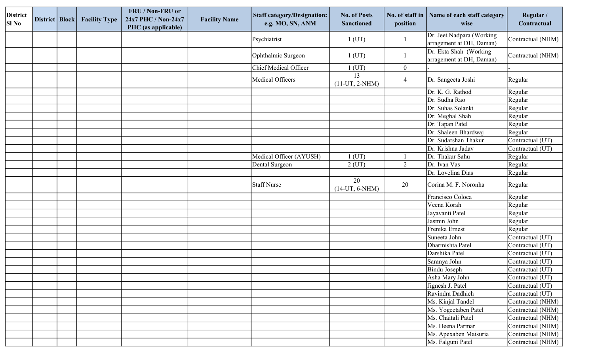| <b>District</b><br><b>SI</b> No | District   Block | <b>Facility Type</b> | FRU / Non-FRU or<br>24x7 PHC / Non-24x7<br>PHC (as applicable) | <b>Facility Name</b> | <b>Staff category/Designation:</b><br>e.g. MO, SN, ANM | <b>No. of Posts</b><br><b>Sanctioned</b> | No. of staff in<br>position | Name of each staff category<br>wise                   | Regular /<br>Contractual |
|---------------------------------|------------------|----------------------|----------------------------------------------------------------|----------------------|--------------------------------------------------------|------------------------------------------|-----------------------------|-------------------------------------------------------|--------------------------|
|                                 |                  |                      |                                                                |                      | Psychiatrist                                           | $1$ (UT)                                 |                             | Dr. Jeet Nadpara (Working<br>arragement at DH, Daman) | Contractual (NHM)        |
|                                 |                  |                      |                                                                |                      | Ophthalmic Surgeon                                     | 1 (UT)                                   |                             | Dr. Ekta Shah (Working<br>arragement at DH, Daman)    | Contractual (NHM)        |
|                                 |                  |                      |                                                                |                      | Chief Medical Officer                                  | $1$ (UT)                                 | $\boldsymbol{0}$            |                                                       |                          |
|                                 |                  |                      |                                                                |                      | Medical Officers                                       | 13<br>$(11-UT, 2-NHM)$                   | $\overline{4}$              | Dr. Sangeeta Joshi                                    | Regular                  |
|                                 |                  |                      |                                                                |                      |                                                        |                                          |                             | Dr. K. G. Rathod                                      | Regular                  |
|                                 |                  |                      |                                                                |                      |                                                        |                                          |                             | Dr. Sudha Rao                                         | Regular                  |
|                                 |                  |                      |                                                                |                      |                                                        |                                          |                             | Dr. Suhas Solanki                                     | Regular                  |
|                                 |                  |                      |                                                                |                      |                                                        |                                          |                             | Dr. Meghal Shah                                       | Regular                  |
|                                 |                  |                      |                                                                |                      |                                                        |                                          |                             | Dr. Tapan Patel                                       | Regular                  |
|                                 |                  |                      |                                                                |                      |                                                        |                                          |                             | Dr. Shaleen Bhardwaj                                  | Regular                  |
|                                 |                  |                      |                                                                |                      |                                                        |                                          |                             | Dr. Sudarshan Thakur                                  | Contractual (UT)         |
|                                 |                  |                      |                                                                |                      |                                                        |                                          |                             | Dr. Krishna Jadav                                     | Contractual (UT)         |
|                                 |                  |                      |                                                                |                      | Medical Officer (AYUSH)                                | $1$ (UT)                                 |                             | Dr. Thakur Sahu                                       | Regular                  |
|                                 |                  |                      |                                                                |                      | Dental Surgeon                                         | $2$ (UT)                                 | 2                           | Dr. Ivan Vas                                          | Regular                  |
|                                 |                  |                      |                                                                |                      |                                                        |                                          |                             | Dr. Lovelina Dias                                     | Regular                  |
|                                 |                  |                      |                                                                |                      | Staff Nurse                                            | 20<br>$(14-UT, 6-NHM)$                   | 20                          | Corina M. F. Noronha                                  | Regular                  |
|                                 |                  |                      |                                                                |                      |                                                        |                                          |                             | Francisco Coloca                                      | Regular                  |
|                                 |                  |                      |                                                                |                      |                                                        |                                          |                             | Veena Korah                                           | Regular                  |
|                                 |                  |                      |                                                                |                      |                                                        |                                          |                             | Jayavanti Patel                                       | Regular                  |
|                                 |                  |                      |                                                                |                      |                                                        |                                          |                             | Jasmin John                                           | Regular                  |
|                                 |                  |                      |                                                                |                      |                                                        |                                          |                             | Frenika Ernest                                        | Regular                  |
|                                 |                  |                      |                                                                |                      |                                                        |                                          |                             | Suneeta John                                          | Contractual (UT)         |
|                                 |                  |                      |                                                                |                      |                                                        |                                          |                             | Dharmishta Patel                                      | Contractual (UT)         |
|                                 |                  |                      |                                                                |                      |                                                        |                                          |                             | Darshika Patel                                        | Contractual (UT)         |
|                                 |                  |                      |                                                                |                      |                                                        |                                          |                             | Saranya John                                          | Contractual (UT)         |
|                                 |                  |                      |                                                                |                      |                                                        |                                          |                             | Bindu Joseph                                          | Contractual (UT)         |
|                                 |                  |                      |                                                                |                      |                                                        |                                          |                             | Asha Mary John                                        | Contractual (UT)         |
|                                 |                  |                      |                                                                |                      |                                                        |                                          |                             | Jignesh J. Patel                                      | Contractual (UT)         |
|                                 |                  |                      |                                                                |                      |                                                        |                                          |                             | Ravindra Dadhich                                      | Contractual (UT)         |
|                                 |                  |                      |                                                                |                      |                                                        |                                          |                             | Ms. Kinjal Tandel                                     | Contractual (NHM)        |
|                                 |                  |                      |                                                                |                      |                                                        |                                          |                             | Ms. Yogeetaben Patel                                  | Contractual (NHM)        |
|                                 |                  |                      |                                                                |                      |                                                        |                                          |                             | Ms. Chaitali Patel                                    | Contractual (NHM)        |
|                                 |                  |                      |                                                                |                      |                                                        |                                          |                             | Ms. Heena Parmar                                      | Contractual (NHM)        |
|                                 |                  |                      |                                                                |                      |                                                        |                                          |                             | Ms. Apexaben Maisuria                                 | Contractual (NHM)        |
|                                 |                  |                      |                                                                |                      |                                                        |                                          |                             | Ms. Falguni Patel                                     | Contractual (NHM)        |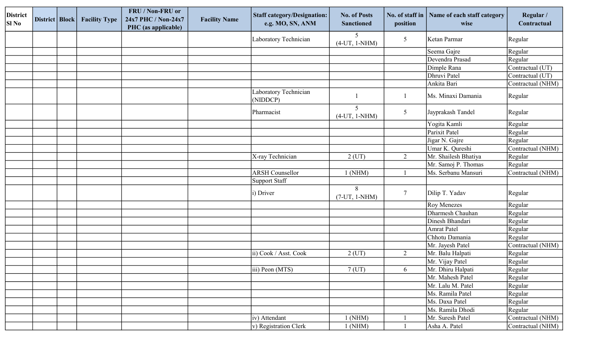| <b>District</b><br>SI No | District   Block | <b>Facility Type</b> | FRU / Non-FRU or<br>24x7 PHC / Non-24x7<br>PHC (as applicable) | <b>Facility Name</b> | <b>Staff category/Designation:</b><br>e.g. MO, SN, ANM | <b>No. of Posts</b><br><b>Sanctioned</b> | position       | No. of staff in   Name of each staff category<br>wise | Regular /<br>Contractual |
|--------------------------|------------------|----------------------|----------------------------------------------------------------|----------------------|--------------------------------------------------------|------------------------------------------|----------------|-------------------------------------------------------|--------------------------|
|                          |                  |                      |                                                                |                      | Laboratory Technician                                  | 5<br>$(4-UT, 1-NHM)$                     | $\mathfrak{S}$ | Ketan Parmar                                          | Regular                  |
|                          |                  |                      |                                                                |                      |                                                        |                                          |                | Seema Gajre                                           | Regular                  |
|                          |                  |                      |                                                                |                      |                                                        |                                          |                | Devendra Prasad                                       | Regular                  |
|                          |                  |                      |                                                                |                      |                                                        |                                          |                | Dimple Rana                                           | Contractual (UT)         |
|                          |                  |                      |                                                                |                      |                                                        |                                          |                | Dhruvi Patel                                          | Contractual (UT)         |
|                          |                  |                      |                                                                |                      |                                                        |                                          |                | Ankita Bari                                           | Contractual (NHM)        |
|                          |                  |                      |                                                                |                      | Laboratory Technician<br>(NIDDCP)                      |                                          | -1             | Ms. Minaxi Damania                                    | Regular                  |
|                          |                  |                      |                                                                |                      | Pharmacist                                             | 5 <sup>5</sup><br>$(4-UT, 1-NHM)$        | 5              | Jayprakash Tandel                                     | Regular                  |
|                          |                  |                      |                                                                |                      |                                                        |                                          |                | Yogita Kamli                                          | Regular                  |
|                          |                  |                      |                                                                |                      |                                                        |                                          |                | Parixit Patel                                         | Regular                  |
|                          |                  |                      |                                                                |                      |                                                        |                                          |                | Jigar N. Gajre                                        | Regular                  |
|                          |                  |                      |                                                                |                      |                                                        |                                          |                | Umar K. Qureshi                                       | Contractual (NHM)        |
|                          |                  |                      |                                                                |                      | X-ray Technician                                       | $2$ (UT)                                 | 2              | Mr. Shailesh Bhatiya                                  | Regular                  |
|                          |                  |                      |                                                                |                      |                                                        |                                          |                | Mr. Samoj P. Thomas                                   | Regular                  |
|                          |                  |                      |                                                                |                      | <b>ARSH</b> Counsellor                                 | $1$ (NHM)                                |                | Ms. Serbanu Mansuri                                   | Contractual (NHM)        |
|                          |                  |                      |                                                                |                      | Support Staff                                          |                                          |                |                                                       |                          |
|                          |                  |                      |                                                                |                      | i) Driver                                              | 8<br>$(7-UT, 1-NHM)$                     | $\overline{7}$ | Dilip T. Yadav                                        | Regular                  |
|                          |                  |                      |                                                                |                      |                                                        |                                          |                | <b>Roy Menezes</b>                                    | Regular                  |
|                          |                  |                      |                                                                |                      |                                                        |                                          |                | Dharmesh Chauhan                                      | Regular                  |
|                          |                  |                      |                                                                |                      |                                                        |                                          |                | Dinesh Bhandari                                       | Regular                  |
|                          |                  |                      |                                                                |                      |                                                        |                                          |                | <b>Amrat Patel</b>                                    | Regular                  |
|                          |                  |                      |                                                                |                      |                                                        |                                          |                | Chhotu Damania                                        | Regular                  |
|                          |                  |                      |                                                                |                      |                                                        |                                          |                | Mr. Jayesh Patel                                      | Contractual (NHM)        |
|                          |                  |                      |                                                                |                      | ii) Cook / Asst. Cook                                  | $2$ (UT)                                 | 2              | Mr. Balu Halpati                                      | Regular                  |
|                          |                  |                      |                                                                |                      |                                                        |                                          |                | Mr. Vijay Patel                                       | Regular                  |
|                          |                  |                      |                                                                |                      | $\vert$ iii) Peon (MTS)                                | $7$ (UT)                                 | 6              | Mr. Dhiru Halpati                                     | Regular                  |
|                          |                  |                      |                                                                |                      |                                                        |                                          |                | Mr. Mahesh Patel                                      | Regular                  |
|                          |                  |                      |                                                                |                      |                                                        |                                          |                | Mr. Lalu M. Patel                                     | Regular                  |
|                          |                  |                      |                                                                |                      |                                                        |                                          |                | Ms. Ramila Patel                                      | Regular                  |
|                          |                  |                      |                                                                |                      |                                                        |                                          |                | Ms. Daxa Patel                                        | Regular                  |
|                          |                  |                      |                                                                |                      |                                                        |                                          |                | Ms. Ramila Dhodi                                      | Regular                  |
|                          |                  |                      |                                                                |                      | iv) Attendant                                          | $1$ (NHM)                                |                | Mr. Suresh Patel                                      | Contractual (NHM)        |
|                          |                  |                      |                                                                |                      | v) Registration Clerk                                  | $1$ (NHM)                                |                | Asha A. Patel                                         | Contractual (NHM)        |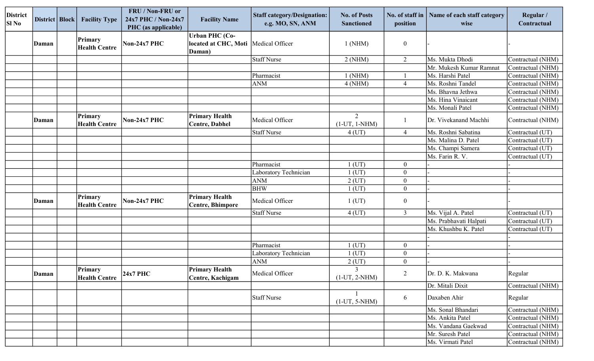| <b>District</b><br>Sl No | District Block | <b>Facility Type</b>            | FRU / Non-FRU or<br>24x7 PHC / Non-24x7<br>PHC (as applicable) | <b>Facility Name</b>                                    | <b>Staff category/Designation:</b><br>e.g. MO, SN, ANM | <b>No. of Posts</b><br><b>Sanctioned</b> | No. of staff in<br>position | Name of each staff category<br>wise | Regular /<br>Contractual |
|--------------------------|----------------|---------------------------------|----------------------------------------------------------------|---------------------------------------------------------|--------------------------------------------------------|------------------------------------------|-----------------------------|-------------------------------------|--------------------------|
|                          | Daman          | Primary<br><b>Health Centre</b> | Non-24x7 PHC                                                   | <b>Urban PHC (Co-</b><br>located at CHC, Moti<br>Daman) | Medical Officer                                        | $1$ (NHM)                                | $\boldsymbol{0}$            |                                     |                          |
|                          |                |                                 |                                                                |                                                         | <b>Staff Nurse</b>                                     | 2(NHM)                                   | 2                           | Ms. Mukta Dhodi                     | Contractual (NHM)        |
|                          |                |                                 |                                                                |                                                         |                                                        |                                          |                             | Mr. Mukesh Kumar Ramnat             | Contractual (NHM)        |
|                          |                |                                 |                                                                |                                                         | Pharmacist                                             | 1 (NHM)                                  |                             | Ms. Harshi Patel                    | Contractual (NHM)        |
|                          |                |                                 |                                                                |                                                         | <b>ANM</b>                                             | 4(NHM)                                   | $\overline{4}$              | Ms. Roshni Tandel                   | Contractual (NHM)        |
|                          |                |                                 |                                                                |                                                         |                                                        |                                          |                             | Ms. Bhavna Jethwa                   | Contractual (NHM)        |
|                          |                |                                 |                                                                |                                                         |                                                        |                                          |                             | Ms. Hina Vinaicant                  | Contractual (NHM)        |
|                          |                |                                 |                                                                |                                                         |                                                        |                                          |                             | Ms. Monali Patel                    | Contractual (NHM)        |
|                          | Daman          | Primary<br><b>Health Centre</b> | Non-24x7 PHC                                                   | <b>Primary Health</b><br><b>Centre, Dabhel</b>          | Medical Officer                                        | 2<br>$(1-UT, 1-NHM)$                     |                             | Dr. Vivekanand Machhi               | Contractual (NHM)        |
|                          |                |                                 |                                                                |                                                         | <b>Staff Nurse</b>                                     | $4$ (UT)                                 | $\overline{4}$              | Ms. Roshni Sabatina                 | Contractual (UT)         |
|                          |                |                                 |                                                                |                                                         |                                                        |                                          |                             | Ms. Malina D. Patel                 | Contractual (UT)         |
|                          |                |                                 |                                                                |                                                         |                                                        |                                          |                             | Ms. Champi Samera                   | Contractual (UT)         |
|                          |                |                                 |                                                                |                                                         |                                                        |                                          |                             | Ms. Farin R. V.                     | Contractual (UT)         |
|                          |                |                                 |                                                                |                                                         | Pharmacist                                             | $1$ (UT)                                 | $\boldsymbol{0}$            |                                     |                          |
|                          |                |                                 |                                                                |                                                         | Laboratory Technician                                  | $1$ (UT)                                 | $\boldsymbol{0}$            |                                     |                          |
|                          |                |                                 |                                                                |                                                         | <b>ANM</b>                                             | $2$ (UT)                                 | $\boldsymbol{0}$            |                                     |                          |
|                          |                |                                 |                                                                |                                                         | <b>BHW</b>                                             | $1$ (UT)                                 | $\boldsymbol{0}$            |                                     |                          |
|                          | Daman          | Primary<br><b>Health Centre</b> | Non-24x7 PHC                                                   | <b>Primary Health</b><br><b>Centre, Bhimpore</b>        | Medical Officer                                        | $1$ (UT)                                 | $\boldsymbol{0}$            |                                     |                          |
|                          |                |                                 |                                                                |                                                         | <b>Staff Nurse</b>                                     | $4$ (UT)                                 | $\overline{3}$              | Ms. Vijal A. Patel                  | Contractual (UT)         |
|                          |                |                                 |                                                                |                                                         |                                                        |                                          |                             | Ms. Prabhavati Halpati              | Contractual (UT)         |
|                          |                |                                 |                                                                |                                                         |                                                        |                                          |                             | Ms. Khushbu K. Patel                | Contractual (UT)         |
|                          |                |                                 |                                                                |                                                         |                                                        |                                          |                             |                                     |                          |
|                          |                |                                 |                                                                |                                                         | Pharmacist                                             | $1$ (UT)                                 | $\boldsymbol{0}$            |                                     |                          |
|                          |                |                                 |                                                                |                                                         | Laboratory Technician                                  | $1$ (UT)                                 | $\overline{0}$              |                                     |                          |
|                          |                |                                 |                                                                |                                                         | <b>ANM</b>                                             | $2$ (UT)                                 | $\boldsymbol{0}$            |                                     |                          |
|                          | Daman          | Primary<br><b>Health Centre</b> | <b>24x7 PHC</b>                                                | <b>Primary Health</b><br>Centre, Kachigam               | Medical Officer                                        | $\mathfrak{Z}$<br>$(1-UT, 2-NHM)$        | $\overline{2}$              | Dr. D. K. Makwana                   | Regular                  |
|                          |                |                                 |                                                                |                                                         |                                                        |                                          |                             | Dr. Mitali Dixit                    | Contractual (NHM)        |
|                          |                |                                 |                                                                |                                                         | Staff Nurse                                            | $(1-UT, 5-NHM)$                          | 6                           | Daxaben Ahir                        | Regular                  |
|                          |                |                                 |                                                                |                                                         |                                                        |                                          |                             | Ms. Sonal Bhandari                  | Contractual (NHM)        |
|                          |                |                                 |                                                                |                                                         |                                                        |                                          |                             | Ms. Ankita Patel                    | Contractual (NHM)        |
|                          |                |                                 |                                                                |                                                         |                                                        |                                          |                             | Ms. Vandana Gaekwad                 | Contractual (NHM)        |
|                          |                |                                 |                                                                |                                                         |                                                        |                                          |                             | Mr. Suresh Patel                    | Contractual (NHM)        |
|                          |                |                                 |                                                                |                                                         |                                                        |                                          |                             | Ms. Virmati Patel                   | Contractual (NHM)        |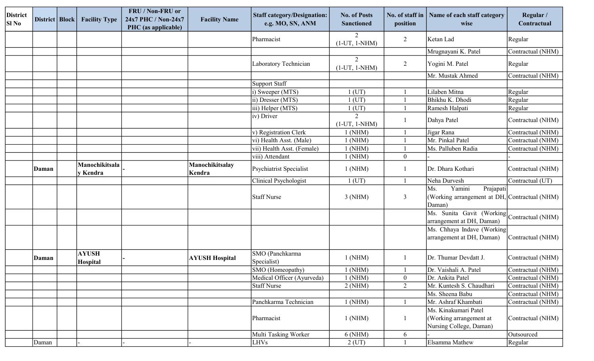| <b>District</b><br>Sl No | District   Block | <b>Facility Type</b>       | FRU / Non-FRU or<br>24x7 PHC / Non-24x7<br>PHC (as applicable) | <b>Facility Name</b>      | <b>Staff category/Designation:</b><br>e.g. MO, SN, ANM | <b>No. of Posts</b><br><b>Sanctioned</b> | No. of staff in<br>position | Name of each staff category<br>wise                                                   | Regular /<br>Contractual |
|--------------------------|------------------|----------------------------|----------------------------------------------------------------|---------------------------|--------------------------------------------------------|------------------------------------------|-----------------------------|---------------------------------------------------------------------------------------|--------------------------|
|                          |                  |                            |                                                                |                           | Pharmacist                                             | 2<br>$(1-UT, 1-NHM)$                     | 2                           | Ketan Lad                                                                             | Regular                  |
|                          |                  |                            |                                                                |                           |                                                        |                                          |                             | Mrugnayani K. Patel                                                                   | Contractual (NHM)        |
|                          |                  |                            |                                                                |                           | Laboratory Technician                                  | $\overline{2}$<br>$(1-UT, 1-NHM)$        | 2                           | Yogini M. Patel                                                                       | Regular                  |
|                          |                  |                            |                                                                |                           |                                                        |                                          |                             | Mr. Mustak Ahmed                                                                      | Contractual (NHM)        |
|                          |                  |                            |                                                                |                           | <b>Support Staff</b>                                   |                                          |                             |                                                                                       |                          |
|                          |                  |                            |                                                                |                           | i) Sweeper $(MTS)$                                     | $1$ (UT)                                 |                             | Lilaben Mitna                                                                         | Regular                  |
|                          |                  |                            |                                                                |                           | ii) Dresser (MTS)                                      | $1$ (UT)                                 |                             | Bhikhu K. Dhodi                                                                       | Regular                  |
|                          |                  |                            |                                                                |                           | iii) Helper (MTS)                                      | $1$ (UT)                                 |                             | Ramesh Halpati                                                                        | Regular                  |
|                          |                  |                            |                                                                |                           | (iv) Driver                                            | $\overline{2}$<br>$(1-UT, 1-NHM)$        |                             | Dahya Patel                                                                           | Contractual (NHM)        |
|                          |                  |                            |                                                                |                           | v) Registration Clerk                                  | $1$ (NHM)                                |                             | Jigar Rana                                                                            | Contractual (NHM)        |
|                          |                  |                            |                                                                |                           | vi) Health Asst. (Male)                                | $1$ (NHM)                                |                             | Mr. Pinkal Patel                                                                      | Contractual (NHM)        |
|                          |                  |                            |                                                                |                           | vii) Health Asst. (Female)                             | $1$ (NHM)                                |                             | Ms. Palluben Radia                                                                    | Contractual (NHM)        |
|                          |                  |                            |                                                                |                           | viii) Attendant                                        | $1$ (NHM)                                | $\boldsymbol{0}$            |                                                                                       |                          |
|                          | Daman            | Manochikitsala<br>y Kendra |                                                                | Manochikitsalay<br>Kendra | Psychiatrist Specialist                                | 1(NHM)                                   |                             | Dr. Dhara Kothari                                                                     | Contractual (NHM)        |
|                          |                  |                            |                                                                |                           | <b>Clinical Psychologist</b>                           | $1$ (UT)                                 |                             | Neha Durvesh                                                                          | Contractual (UT)         |
|                          |                  |                            |                                                                |                           | Staff Nurse                                            | $3$ (NHM)                                | 3                           | Yamini<br>Ms.<br>Prajapati<br>(Working arrangement at DH, Contractual (NHM)<br>Daman) |                          |
|                          |                  |                            |                                                                |                           |                                                        |                                          |                             | Ms. Sunita Gavit (Working Contractual (NHM)<br>arrangement at DH, Daman)              |                          |
|                          |                  |                            |                                                                |                           |                                                        |                                          |                             | Ms. Chhaya Indave (Working<br>arrangement at DH, Daman)                               | Contractual (NHM)        |
|                          | Daman            | <b>AYUSH</b><br>Hospital   |                                                                | <b>AYUSH Hospital</b>     | SMO (Panchkarma<br>Specialist)                         | $1$ (NHM)                                |                             | Dr. Thumar Devdatt J.                                                                 | Contractual (NHM)        |
|                          |                  |                            |                                                                |                           | SMO (Homeopathy)                                       | $1$ (NHM)                                |                             | Dr. Vaishali A. Patel                                                                 | Contractual (NHM)        |
|                          |                  |                            |                                                                |                           | Medical Officer (Ayurveda)                             | $1$ (NHM)                                | $\boldsymbol{0}$            | Dr. Ankita Patel                                                                      | Contractual (NHM)        |
|                          |                  |                            |                                                                |                           | <b>Staff Nurse</b>                                     | 2(NHM)                                   | $\overline{2}$              | Mr. Kuntesh S. Chaudhari                                                              | Contractual (NHM)        |
|                          |                  |                            |                                                                |                           |                                                        |                                          |                             | Ms. Sheena Babu                                                                       | Contractual (NHM)        |
|                          |                  |                            |                                                                |                           | Panchkarma Technician                                  | $1$ (NHM)                                |                             | Mr. Ashraf Khambati                                                                   | Contractual (NHM)        |
|                          |                  |                            |                                                                |                           | Pharmacist                                             | 1(NHM)                                   | $\mathbf{1}$                | Ms. Kinakumari Patel<br>(Working arrangement at<br>Nursing College, Daman)            | Contractual (NHM)        |
|                          |                  |                            |                                                                |                           | Multi Tasking Worker                                   | 6(NHM)                                   | 6                           |                                                                                       | Outsourced               |
|                          | Daman            |                            |                                                                |                           | LHVs                                                   | $2$ (UT)                                 |                             | Elsamma Mathew                                                                        | Regular                  |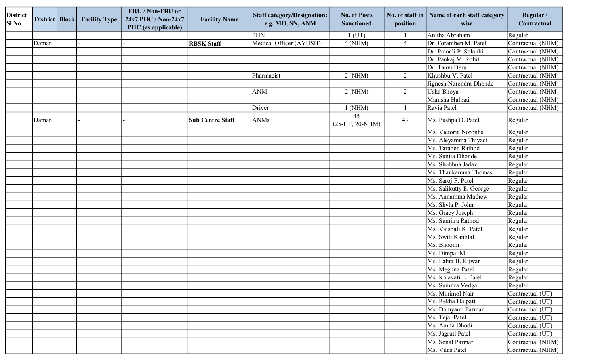| <b>District</b><br>Sl No | District   Block | <b>Facility Type</b> | FRU / Non-FRU or<br>24x7 PHC / Non-24x7<br>PHC (as applicable) | <b>Facility Name</b>    | <b>Staff category/Designation:</b><br>e.g. MO, SN, ANM | <b>No. of Posts</b><br><b>Sanctioned</b> | No. of staff in<br>position | Name of each staff category<br>wise | Regular /<br>Contractual |
|--------------------------|------------------|----------------------|----------------------------------------------------------------|-------------------------|--------------------------------------------------------|------------------------------------------|-----------------------------|-------------------------------------|--------------------------|
|                          |                  |                      |                                                                |                         | PHN                                                    | $1$ (UT)                                 |                             | Anitha Abraham                      | Regular                  |
|                          | Daman            |                      |                                                                | <b>RBSK Staff</b>       | Medical Officer (AYUSH)                                | 4(NHM)                                   | $\overline{4}$              | Dr. Foramben M. Patel               | Contractual (NHM)        |
|                          |                  |                      |                                                                |                         |                                                        |                                          |                             | Dr. Pranali P. Solanki              | Contractual (NHM)        |
|                          |                  |                      |                                                                |                         |                                                        |                                          |                             | Dr. Pankaj M. Rohit                 | Contractual (NHM)        |
|                          |                  |                      |                                                                |                         |                                                        |                                          |                             | Dr. Tanvi Deru                      | Contractual (NHM)        |
|                          |                  |                      |                                                                |                         | Pharmacist                                             | 2(NHM)                                   | 2                           | Khushbu V. Patel                    | Contractual (NHM)        |
|                          |                  |                      |                                                                |                         |                                                        |                                          |                             | Jignesh Narendra Dhonde             | Contractual (NHM)        |
|                          |                  |                      |                                                                |                         | <b>ANM</b>                                             | 2(NHM)                                   | 2                           | Usha Bhoya                          | Contractual (NHM)        |
|                          |                  |                      |                                                                |                         |                                                        |                                          |                             | Manisha Halpati                     | Contractual (NHM)        |
|                          |                  |                      |                                                                |                         | Driver                                                 | $1$ (NHM)                                |                             | Ravia Patel                         | Contractual (NHM)        |
|                          | Daman            |                      |                                                                | <b>Sub Centre Staff</b> | ANMs                                                   | 45<br>$(25-UT, 20-NHM)$                  | 43                          | Ms. Pushpa D. Patel                 | Regular                  |
|                          |                  |                      |                                                                |                         |                                                        |                                          |                             | Ms. Victoria Noronha                | Regular                  |
|                          |                  |                      |                                                                |                         |                                                        |                                          |                             | Ms. Aleyamma Thiyadi                | Regular                  |
|                          |                  |                      |                                                                |                         |                                                        |                                          |                             | Ms. Taraben Rathod                  | Regular                  |
|                          |                  |                      |                                                                |                         |                                                        |                                          |                             | Ms. Sunita Dhonde                   | Regular                  |
|                          |                  |                      |                                                                |                         |                                                        |                                          |                             | Ms. Shobhna Jadav                   | Regular                  |
|                          |                  |                      |                                                                |                         |                                                        |                                          |                             | Ms. Thankamma Thomas                | Regular                  |
|                          |                  |                      |                                                                |                         |                                                        |                                          |                             | Ms. Saroj F. Patel                  | Regular                  |
|                          |                  |                      |                                                                |                         |                                                        |                                          |                             | Ms. Salikutty E. George             | Regular                  |
|                          |                  |                      |                                                                |                         |                                                        |                                          |                             | Ms. Annamma Mathew                  | Regular                  |
|                          |                  |                      |                                                                |                         |                                                        |                                          |                             | Ms. Shyla P. John                   | Regular                  |
|                          |                  |                      |                                                                |                         |                                                        |                                          |                             | Ms. Gracy Joseph                    | Regular                  |
|                          |                  |                      |                                                                |                         |                                                        |                                          |                             | Ms. Sumitra Rathod                  | Regular                  |
|                          |                  |                      |                                                                |                         |                                                        |                                          |                             | Ms. Vaishali K. Patel               | Regular                  |
|                          |                  |                      |                                                                |                         |                                                        |                                          |                             | Ms. Switi Kantilal                  | Regular                  |
|                          |                  |                      |                                                                |                         |                                                        |                                          |                             | Ms. Bhoomi                          | Regular                  |
|                          |                  |                      |                                                                |                         |                                                        |                                          |                             | Ms. Dimpal M.                       | Regular                  |
|                          |                  |                      |                                                                |                         |                                                        |                                          |                             | Ms. Lalita B. Kuwar                 | Regular                  |
|                          |                  |                      |                                                                |                         |                                                        |                                          |                             | Ms. Meghna Patel                    | Regular                  |
|                          |                  |                      |                                                                |                         |                                                        |                                          |                             | Ms. Kalavati L. Patel               | Regular                  |
|                          |                  |                      |                                                                |                         |                                                        |                                          |                             | Ms. Sumitra Vedga                   | Regular                  |
|                          |                  |                      |                                                                |                         |                                                        |                                          |                             | Ms. Minimol Nair                    | Contractual (UT)         |
|                          |                  |                      |                                                                |                         |                                                        |                                          |                             | Ms. Rekha Halpati                   | Contractual (UT)         |
|                          |                  |                      |                                                                |                         |                                                        |                                          |                             | Ms. Damyanti Parmar                 | Contractual (UT)         |
|                          |                  |                      |                                                                |                         |                                                        |                                          |                             | Ms. Tejal Patel                     | Contractual (UT)         |
|                          |                  |                      |                                                                |                         |                                                        |                                          |                             | Ms. Amita Dhodi                     | Contractual (UT)         |
|                          |                  |                      |                                                                |                         |                                                        |                                          |                             | Ms. Jagruti Patel                   | Contractual (UT)         |
|                          |                  |                      |                                                                |                         |                                                        |                                          |                             | Ms. Sonal Parmar                    | Contractual (NHM)        |
|                          |                  |                      |                                                                |                         |                                                        |                                          |                             | Ms. Vilas Patel                     | Contractual (NHM)        |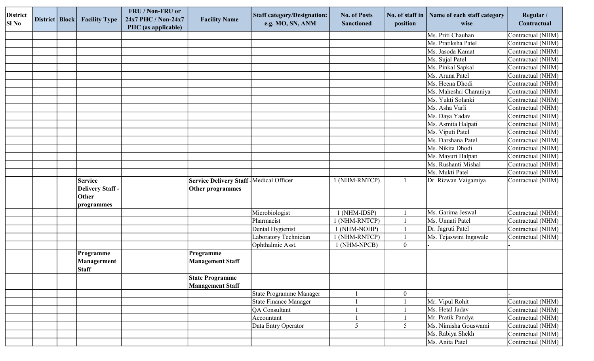| <b>District</b><br>SI No | District   Block | <b>Facility Type</b>                                            | FRU / Non-FRU or<br>24x7 PHC / Non-24x7<br>PHC (as applicable) | <b>Facility Name</b>                                                | <b>Staff category/Designation:</b><br>e.g. MO, SN, ANM | <b>No. of Posts</b><br><b>Sanctioned</b> | No. of staff in<br>position | Name of each staff category<br>wise | Regular /<br>Contractual |
|--------------------------|------------------|-----------------------------------------------------------------|----------------------------------------------------------------|---------------------------------------------------------------------|--------------------------------------------------------|------------------------------------------|-----------------------------|-------------------------------------|--------------------------|
|                          |                  |                                                                 |                                                                |                                                                     |                                                        |                                          |                             | Ms. Priti Chauhan                   | Contractual (NHM)        |
|                          |                  |                                                                 |                                                                |                                                                     |                                                        |                                          |                             | Ms. Pratiksha Patel                 | Contractual (NHM)        |
|                          |                  |                                                                 |                                                                |                                                                     |                                                        |                                          |                             | Ms. Jasoda Kamat                    | Contractual (NHM)        |
|                          |                  |                                                                 |                                                                |                                                                     |                                                        |                                          |                             | Ms. Sujal Patel                     | Contractual (NHM)        |
|                          |                  |                                                                 |                                                                |                                                                     |                                                        |                                          |                             | Ms. Pinkal Sapkal                   | Contractual (NHM)        |
|                          |                  |                                                                 |                                                                |                                                                     |                                                        |                                          |                             | Ms. Aruna Patel                     | Contractual (NHM)        |
|                          |                  |                                                                 |                                                                |                                                                     |                                                        |                                          |                             | Ms. Heena Dhodi                     | Contractual (NHM)        |
|                          |                  |                                                                 |                                                                |                                                                     |                                                        |                                          |                             | Ms. Maheshri Charaniya              | Contractual (NHM)        |
|                          |                  |                                                                 |                                                                |                                                                     |                                                        |                                          |                             | Ms. Yukti Solanki                   | Contractual (NHM)        |
|                          |                  |                                                                 |                                                                |                                                                     |                                                        |                                          |                             | Ms. Asha Varli                      | Contractual (NHM)        |
|                          |                  |                                                                 |                                                                |                                                                     |                                                        |                                          |                             | Ms. Daya Yadav                      | Contractual (NHM)        |
|                          |                  |                                                                 |                                                                |                                                                     |                                                        |                                          |                             | Ms. Asmita Halpati                  | Contractual (NHM)        |
|                          |                  |                                                                 |                                                                |                                                                     |                                                        |                                          |                             | Ms. Viputi Patel                    | Contractual (NHM)        |
|                          |                  |                                                                 |                                                                |                                                                     |                                                        |                                          |                             | Ms. Darshana Patel                  | Contractual (NHM)        |
|                          |                  |                                                                 |                                                                |                                                                     |                                                        |                                          |                             | Ms. Nikita Dhodi                    | Contractual (NHM)        |
|                          |                  |                                                                 |                                                                |                                                                     |                                                        |                                          |                             | Ms. Mayuri Halpati                  | Contractual (NHM)        |
|                          |                  |                                                                 |                                                                |                                                                     |                                                        |                                          |                             | Ms. Rushanti Mishal                 | Contractual (NHM)        |
|                          |                  |                                                                 |                                                                |                                                                     |                                                        |                                          |                             | Ms. Mukti Patel                     | Contractual (NHM)        |
|                          |                  | <b>Service</b><br><b>Delivery Staff-</b><br>Other<br>programmes |                                                                | Service Delivery Staff   Medical Officer<br><b>Other programmes</b> |                                                        | 1 (NHM-RNTCP)                            | $\mathbf{1}$                | Dr. Rizwan Vaigamiya                | Contractual (NHM)        |
|                          |                  |                                                                 |                                                                |                                                                     | Microbiologist                                         | 1 (NHM-IDSP)                             |                             | Ms. Garima Jeswal                   | Contractual (NHM)        |
|                          |                  |                                                                 |                                                                |                                                                     | Pharmacist                                             | (NHM-RNTCP)                              |                             | Ms. Unnati Patel                    | Contractual (NHM)        |
|                          |                  |                                                                 |                                                                |                                                                     | Dental Hygienist                                       | 1 (NHM-NOHP)                             |                             | Dr. Jagruti Patel                   | Contractual (NHM)        |
|                          |                  |                                                                 |                                                                |                                                                     | Laboratory Technician                                  | 1 (NHM-RNTCP)                            |                             | Ms. Tejaswini Ingawale              | Contractual (NHM)        |
|                          |                  |                                                                 |                                                                |                                                                     | Ophthalmic Asst.                                       | 1 (NHM-NPCB)                             | $\boldsymbol{0}$            |                                     |                          |
|                          |                  | Programme<br><b>Managerment</b><br><b>Staff</b>                 |                                                                | Programme<br><b>Management Staff</b>                                |                                                        |                                          |                             |                                     |                          |
|                          |                  |                                                                 |                                                                | <b>State Programme</b><br><b>Management Staff</b>                   |                                                        |                                          |                             |                                     |                          |
|                          |                  |                                                                 |                                                                |                                                                     | State Programme Manager                                |                                          | $\boldsymbol{0}$            |                                     |                          |
|                          |                  |                                                                 |                                                                |                                                                     | <b>State Finance Manager</b>                           |                                          |                             | Mr. Vipul Rohit                     | Contractual (NHM)        |
|                          |                  |                                                                 |                                                                |                                                                     | QA Consultant                                          |                                          |                             | Ms. Hetal Jadav                     | Contractual (NHM)        |
|                          |                  |                                                                 |                                                                |                                                                     | Accountant                                             |                                          |                             | Mr. Pratik Pandya                   | Contractual (NHM)        |
|                          |                  |                                                                 |                                                                |                                                                     | Data Entry Operator                                    | 5                                        | 5                           | Ms. Nimisha Gouswami                | Contractual (NHM)        |
|                          |                  |                                                                 |                                                                |                                                                     |                                                        |                                          |                             | Ms. Rabiya Shekh                    | Contractual (NHM)        |
|                          |                  |                                                                 |                                                                |                                                                     |                                                        |                                          |                             | Ms. Anita Patel                     | Contractual (NHM)        |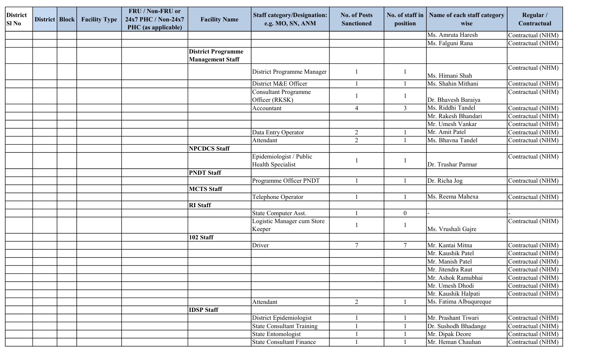| <b>District</b> | District   Block | <b>Facility Type</b> | FRU / Non-FRU or<br>24x7 PHC / Non-24x7 | <b>Facility Name</b>      | <b>Staff category/Designation:</b> | <b>No. of Posts</b> | No. of staff in  | Name of each staff category | Regular /         |
|-----------------|------------------|----------------------|-----------------------------------------|---------------------------|------------------------------------|---------------------|------------------|-----------------------------|-------------------|
| <b>SI No</b>    |                  |                      | PHC (as applicable)                     |                           | e.g. MO, SN, ANM                   | <b>Sanctioned</b>   | position         | wise                        | Contractual       |
|                 |                  |                      |                                         |                           |                                    |                     |                  | Ms. Amruta Haresh           | Contractual (NHM) |
|                 |                  |                      |                                         |                           |                                    |                     |                  | Ms. Falguni Rana            | Contractual (NHM) |
|                 |                  |                      |                                         | <b>District Programme</b> |                                    |                     |                  |                             |                   |
|                 |                  |                      |                                         | <b>Management Staff</b>   |                                    |                     |                  |                             |                   |
|                 |                  |                      |                                         |                           | District Programme Manager         |                     |                  | Ms. Himani Shah             | Contractual (NHM) |
|                 |                  |                      |                                         |                           | District M&E Officer               |                     |                  | Ms. Shahin Mithani          | Contractual (NHM) |
|                 |                  |                      |                                         |                           | <b>Consultant Programme</b>        |                     |                  |                             | Contractual (NHM) |
|                 |                  |                      |                                         |                           | Officer (RKSK)                     |                     |                  | Dr. Bhavesh Baraiya         |                   |
|                 |                  |                      |                                         |                           | Accountant                         | 4                   | $\overline{3}$   | Ms. Riddhi Tandel           | Contractual (NHM) |
|                 |                  |                      |                                         |                           |                                    |                     |                  | Mr. Rakesh Bhandari         | Contractual (NHM) |
|                 |                  |                      |                                         |                           |                                    |                     |                  | Mr. Umesh Vankar            | Contractual (NHM) |
|                 |                  |                      |                                         |                           | Data Entry Operator                | $\overline{2}$      |                  | Mr. Amit Patel              | Contractual (NHM) |
|                 |                  |                      |                                         |                           | Attendant                          | $\overline{2}$      |                  | Ms. Bhavna Tandel           | Contractual (NHM) |
|                 |                  |                      |                                         | <b>NPCDCS Staff</b>       |                                    |                     |                  |                             |                   |
|                 |                  |                      |                                         |                           | Epidemiologist / Public            |                     |                  |                             | Contractual (NHM) |
|                 |                  |                      |                                         |                           | Health Specialist                  |                     |                  | Dr. Trushar Parmar          |                   |
|                 |                  |                      |                                         | <b>PNDT Staff</b>         |                                    |                     |                  |                             |                   |
|                 |                  |                      |                                         |                           | Programme Officer PNDT             |                     |                  | Dr. Richa Jog               | Contractual (NHM) |
|                 |                  |                      |                                         | <b>MCTS</b> Staff         |                                    |                     |                  |                             |                   |
|                 |                  |                      |                                         |                           | Telephone Operator                 |                     |                  | Ms. Reema Mahexa            | Contractual (NHM) |
|                 |                  |                      |                                         | <b>RI</b> Staff           |                                    |                     |                  |                             |                   |
|                 |                  |                      |                                         |                           | State Computer Asst.               |                     | $\boldsymbol{0}$ |                             |                   |
|                 |                  |                      |                                         |                           | Logistic Manager cum Store         |                     |                  |                             | Contractual (NHM) |
|                 |                  |                      |                                         |                           | Keeper                             |                     |                  | Ms. Vrushali Gajre          |                   |
|                 |                  |                      |                                         | 102 Staff                 |                                    |                     |                  |                             |                   |
|                 |                  |                      |                                         |                           | Driver                             | $\tau$              | $\overline{7}$   | Mr. Kantai Mitna            | Contractual (NHM) |
|                 |                  |                      |                                         |                           |                                    |                     |                  | Mr. Kaushik Patel           | Contractual (NHM) |
|                 |                  |                      |                                         |                           |                                    |                     |                  | Mr. Manish Patel            | Contractual (NHM) |
|                 |                  |                      |                                         |                           |                                    |                     |                  | Mr. Jitendra Raut           | Contractual (NHM) |
|                 |                  |                      |                                         |                           |                                    |                     |                  | Mr. Ashok Ramubhai          | Contractual (NHM) |
|                 |                  |                      |                                         |                           |                                    |                     |                  | Mr. Umesh Dhodi             | Contractual (NHM) |
|                 |                  |                      |                                         |                           |                                    |                     |                  | Mr. Kaushik Halpati         | Contractual (NHM) |
|                 |                  |                      |                                         |                           | Attendant                          | $\overline{2}$      |                  | Ms. Fatima Albuqureque      |                   |
|                 |                  |                      |                                         | <b>IDSP</b> Staff         |                                    |                     |                  |                             |                   |
|                 |                  |                      |                                         |                           | District Epidemiologist            |                     |                  | Mr. Prashant Tiwari         | Contractual (NHM) |
|                 |                  |                      |                                         |                           | <b>State Consultant Training</b>   |                     |                  | Dr. Sushodh Bhadange        | Contractual (NHM) |
|                 |                  |                      |                                         |                           | State Entomologist                 |                     |                  | Mr. Dipak Deore             | Contractual (NHM) |
|                 |                  |                      |                                         |                           | State Consultant Finance           |                     |                  | Mr. Heman Chauhan           | Contractual (NHM) |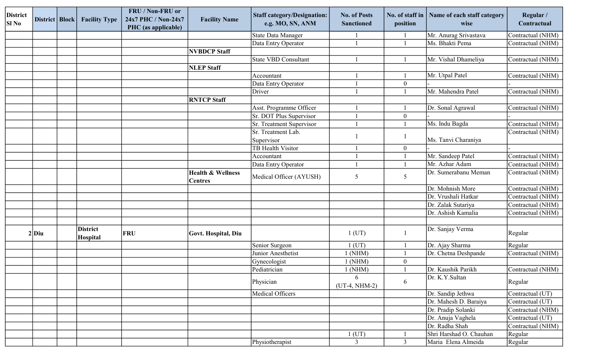| <b>District</b><br><b>SI No</b> | District   Block | <b>Facility Type</b>        | FRU / Non-FRU or<br>24x7 PHC / Non-24x7<br>PHC (as applicable) | <b>Facility Name</b>                           | <b>Staff category/Designation:</b><br>e.g. MO, SN, ANM | <b>No. of Posts</b><br><b>Sanctioned</b> | No. of staff in<br>position | Name of each staff category<br>wise | Regular /<br>Contractual |
|---------------------------------|------------------|-----------------------------|----------------------------------------------------------------|------------------------------------------------|--------------------------------------------------------|------------------------------------------|-----------------------------|-------------------------------------|--------------------------|
|                                 |                  |                             |                                                                |                                                | State Data Manager                                     |                                          |                             | Mr. Anurag Srivastava               | Contractual (NHM)        |
|                                 |                  |                             |                                                                |                                                | Data Entry Operator                                    |                                          |                             | Ms. Bhakti Pema                     | Contractual (NHM)        |
|                                 |                  |                             |                                                                | <b>NVBDCP Staff</b>                            |                                                        |                                          |                             |                                     |                          |
|                                 |                  |                             |                                                                |                                                | <b>State VBD Consultant</b>                            |                                          |                             | Mr. Vishal Dhameliya                | Contractual (NHM)        |
|                                 |                  |                             |                                                                | <b>NLEP Staff</b>                              |                                                        |                                          |                             |                                     |                          |
|                                 |                  |                             |                                                                |                                                | Accountant                                             |                                          |                             | Mr. Utpal Patel                     | Contractual (NHM)        |
|                                 |                  |                             |                                                                |                                                | Data Entry Operator                                    |                                          | $\overline{0}$              |                                     |                          |
|                                 |                  |                             |                                                                |                                                | Driver                                                 |                                          |                             | Mr. Mahendra Patel                  | Contractual (NHM)        |
|                                 |                  |                             |                                                                | <b>RNTCP Staff</b>                             |                                                        |                                          |                             |                                     |                          |
|                                 |                  |                             |                                                                |                                                | Asst. Programme Officer                                |                                          |                             | Dr. Sonal Agrawal                   | Contractual (NHM)        |
|                                 |                  |                             |                                                                |                                                | Sr. DOT Plus Supervisor                                |                                          | $\overline{0}$              |                                     |                          |
|                                 |                  |                             |                                                                |                                                | Sr. Treatment Supervisor                               |                                          |                             | Ms. Indu Bagda                      | Contractual (NHM)        |
|                                 |                  |                             |                                                                |                                                | Sr. Treatment Lab.                                     |                                          |                             |                                     | Contractual (NHM)        |
|                                 |                  |                             |                                                                |                                                | Supervisor                                             |                                          |                             | Ms. Tanvi Charaniya                 |                          |
|                                 |                  |                             |                                                                |                                                | <b>TB</b> Health Visitor                               |                                          | $\overline{0}$              |                                     |                          |
|                                 |                  |                             |                                                                |                                                | Accountant                                             |                                          |                             | Mr. Sandeep Patel                   | Contractual (NHM)        |
|                                 |                  |                             |                                                                |                                                | Data Entry Operator                                    |                                          |                             | Mr. Azhar Adam                      | Contractual (NHM)        |
|                                 |                  |                             |                                                                | <b>Health &amp; Wellness</b><br><b>Centres</b> | Medical Officer (AYUSH)                                | 5                                        | 5                           | Dr. Sumerabanu Meman                | Contractual (NHM)        |
|                                 |                  |                             |                                                                |                                                |                                                        |                                          |                             | Dr. Mohnish More                    | Contractual (NHM)        |
|                                 |                  |                             |                                                                |                                                |                                                        |                                          |                             | Dr. Vrushali Hatkar                 | Contractual (NHM)        |
|                                 |                  |                             |                                                                |                                                |                                                        |                                          |                             | Dr. Zalak Sutariya                  | Contractual (NHM)        |
|                                 |                  |                             |                                                                |                                                |                                                        |                                          |                             | Dr. Ashish Kamalia                  | Contractual (NHM)        |
|                                 |                  |                             |                                                                |                                                |                                                        |                                          |                             |                                     |                          |
|                                 | $2$ Diu          | <b>District</b><br>Hospital | <b>FRU</b>                                                     | Govt. Hospital, Diu                            |                                                        | $1$ (UT)                                 |                             | Dr. Sanjay Verma                    | Regular                  |
|                                 |                  |                             |                                                                |                                                | Senior Surgeon                                         | $1$ (UT)                                 |                             | Dr. Ajay Sharma                     | Regular                  |
|                                 |                  |                             |                                                                |                                                | Junior Anesthetist                                     | $1$ (NHM)                                |                             | Dr. Chetna Deshpande                | Contractual (NHM)        |
|                                 |                  |                             |                                                                |                                                | Gynecologist                                           | 1(NHM)                                   | $\boldsymbol{0}$            |                                     |                          |
|                                 |                  |                             |                                                                |                                                | Pediatrician                                           | 1 (NHM)                                  |                             | Dr. Kaushik Parikh                  | Contractual (NHM)        |
|                                 |                  |                             |                                                                |                                                | Physician                                              | 6<br>(UT-4, NHM-2)                       | 6                           | Dr. K.Y.Sultan                      | Regular                  |
|                                 |                  |                             |                                                                |                                                | Medical Officers                                       |                                          |                             | Dr. Sandip Jethwa                   | Contractual (UT)         |
|                                 |                  |                             |                                                                |                                                |                                                        |                                          |                             | Dr. Mahesh D. Baraiya               | Contractual (UT)         |
|                                 |                  |                             |                                                                |                                                |                                                        |                                          |                             | Dr. Pradip Solanki                  | Contractual (NHM)        |
|                                 |                  |                             |                                                                |                                                |                                                        |                                          |                             | Dr. Anuja Vaghela                   | Contractual (UT)         |
|                                 |                  |                             |                                                                |                                                |                                                        |                                          |                             | Dr. Radha Shah                      | Contractual (NHM)        |
|                                 |                  |                             |                                                                |                                                |                                                        | $1$ (UT)                                 |                             | Shri Harshad O. Chauhan             | Regular                  |
|                                 |                  |                             |                                                                |                                                | Physiotherapist                                        | 3 <sup>7</sup>                           | $\overline{3}$              | Maria Elena Almeida                 | Regular                  |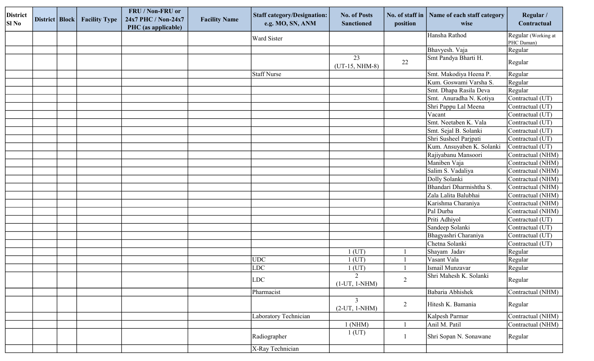| <b>District</b><br>SI No | District   Block | <b>Facility Type</b> | FRU / Non-FRU or<br>24x7 PHC / Non-24x7<br>PHC (as applicable) | <b>Facility Name</b> | <b>Staff category/Designation:</b><br>e.g. MO, SN, ANM | <b>No. of Posts</b><br><b>Sanctioned</b> | No. of staff in<br>position | Name of each staff category<br>wise | Regular /<br>Contractual          |
|--------------------------|------------------|----------------------|----------------------------------------------------------------|----------------------|--------------------------------------------------------|------------------------------------------|-----------------------------|-------------------------------------|-----------------------------------|
|                          |                  |                      |                                                                |                      | <b>Ward Sister</b>                                     |                                          |                             | Hansha Rathod                       | Regular (Working at<br>PHC Daman) |
|                          |                  |                      |                                                                |                      |                                                        |                                          |                             | Bhavyesh. Vaja                      | Regular                           |
|                          |                  |                      |                                                                |                      |                                                        | 23<br>$(UT-15, NHM-8)$                   | 22                          | Smt Pandya Bharti H.                | Regular                           |
|                          |                  |                      |                                                                |                      | Staff Nurse                                            |                                          |                             | Smt. Makodiya Heena P.              | Regular                           |
|                          |                  |                      |                                                                |                      |                                                        |                                          |                             | Kum. Goswami Varsha S.              | Regular                           |
|                          |                  |                      |                                                                |                      |                                                        |                                          |                             | Smt. Dhapa Rasila Deva              | Regular                           |
|                          |                  |                      |                                                                |                      |                                                        |                                          |                             | Smt. Anuradha N. Kotiya             | Contractual (UT)                  |
|                          |                  |                      |                                                                |                      |                                                        |                                          |                             | Shri Pappu Lal Meena                | Contractual (UT)                  |
|                          |                  |                      |                                                                |                      |                                                        |                                          |                             | Vacant                              | Contractual (UT)                  |
|                          |                  |                      |                                                                |                      |                                                        |                                          |                             | Smt. Neetaben K. Vala               | Contractual (UT)                  |
|                          |                  |                      |                                                                |                      |                                                        |                                          |                             | Smt. Sejal B. Solanki               | Contractual (UT)                  |
|                          |                  |                      |                                                                |                      |                                                        |                                          |                             | Shri Susheel Parjpati               | Contractual (UT)                  |
|                          |                  |                      |                                                                |                      |                                                        |                                          |                             | Kum. Ansuyaben K. Solanki           | Contractual (UT)                  |
|                          |                  |                      |                                                                |                      |                                                        |                                          |                             | Rajiyabanu Mansoori                 | Contractual (NHM)                 |
|                          |                  |                      |                                                                |                      |                                                        |                                          |                             | Maniben Vaja                        | Contractual (NHM)                 |
|                          |                  |                      |                                                                |                      |                                                        |                                          |                             | Salim S. Vadaliya                   | Contractual (NHM)                 |
|                          |                  |                      |                                                                |                      |                                                        |                                          |                             | Dolly Solanki                       | Contractual (NHM)                 |
|                          |                  |                      |                                                                |                      |                                                        |                                          |                             | Bhandari Dharmishtha S.             | Contractual (NHM)                 |
|                          |                  |                      |                                                                |                      |                                                        |                                          |                             | Zala Lalita Balubhai                | Contractual (NHM)                 |
|                          |                  |                      |                                                                |                      |                                                        |                                          |                             | Karishma Charaniya                  | Contractual (NHM)                 |
|                          |                  |                      |                                                                |                      |                                                        |                                          |                             | Pal Durba                           | Contractual (NHM)                 |
|                          |                  |                      |                                                                |                      |                                                        |                                          |                             | Priti Adhiyol                       | Contractual (UT)                  |
|                          |                  |                      |                                                                |                      |                                                        |                                          |                             | Sandeep Solanki                     | Contractual (UT)                  |
|                          |                  |                      |                                                                |                      |                                                        |                                          |                             | Bhagyashri Charaniya                | Contractual (UT)                  |
|                          |                  |                      |                                                                |                      |                                                        |                                          |                             | Chetna Solanki                      | Contractual (UT)                  |
|                          |                  |                      |                                                                |                      |                                                        | $1$ (UT)                                 |                             | Shayam Jadav                        | Regular                           |
|                          |                  |                      |                                                                |                      | UDC                                                    | $1$ (UT)                                 |                             | Vasant Vala                         | Regular                           |
|                          |                  |                      |                                                                |                      | LDC                                                    | $1$ (UT)                                 |                             | Ismail Munzavar                     | Regular                           |
|                          |                  |                      |                                                                |                      | LDC                                                    | $\overline{2}$<br>$(1-UT, 1-NHM)$        | $\sqrt{2}$                  | Shri Mahesh K. Solanki              | Regular                           |
|                          |                  |                      |                                                                |                      | Pharmacist                                             |                                          |                             | Babaria Abhishek                    | Contractual (NHM)                 |
|                          |                  |                      |                                                                |                      |                                                        | $\mathfrak{Z}$<br>$(2-UT, 1-NHM)$        | $\overline{2}$              | Hitesh K. Bamania                   | Regular                           |
|                          |                  |                      |                                                                |                      | Laboratory Technician                                  |                                          |                             | Kalpesh Parmar                      | Contractual (NHM)                 |
|                          |                  |                      |                                                                |                      |                                                        | $1$ (NHM)                                |                             | Anil M. Patil                       | Contractual (NHM)                 |
|                          |                  |                      |                                                                |                      | Radiographer                                           | $1$ (UT)                                 |                             | Shri Sopan N. Sonawane              | Regular                           |
|                          |                  |                      |                                                                |                      | X-Ray Technician                                       |                                          |                             |                                     |                                   |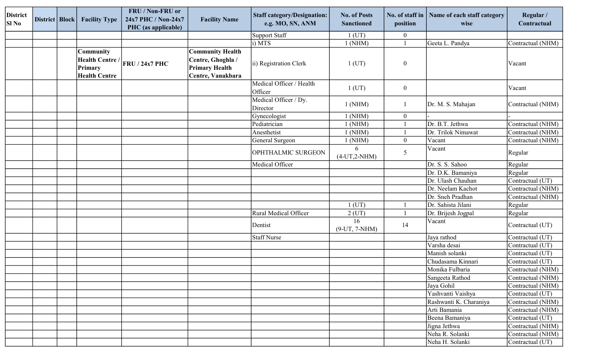| <b>District</b><br>SI No | District   Block | <b>Facility Type</b>                                                   | FRU / Non-FRU or<br>24x7 PHC / Non-24x7<br>PHC (as applicable) | <b>Facility Name</b>                                                                       | <b>Staff category/Designation:</b><br>e.g. MO, SN, ANM | <b>No. of Posts</b><br><b>Sanctioned</b> | No. of staff in<br>position | Name of each staff category<br>wise | Regular /<br>Contractual |
|--------------------------|------------------|------------------------------------------------------------------------|----------------------------------------------------------------|--------------------------------------------------------------------------------------------|--------------------------------------------------------|------------------------------------------|-----------------------------|-------------------------------------|--------------------------|
|                          |                  |                                                                        |                                                                |                                                                                            | Support Staff                                          | $1$ (UT)                                 | $\boldsymbol{0}$            |                                     |                          |
|                          |                  |                                                                        |                                                                |                                                                                            | (i) <b>MTS</b>                                         | 1 (NHM)                                  |                             | Geeta L. Pandya                     | Contractual (NHM)        |
|                          |                  | <b>Community</b><br>Health Centre /<br>Primary<br><b>Health Centre</b> | FRU / 24x7 PHC                                                 | <b>Community Health</b><br>Centre, Ghoghla /<br><b>Primary Health</b><br>Centre, Vanakbara | ii) Registration Clerk                                 | $1$ (UT)                                 | $\boldsymbol{0}$            |                                     | Vacant                   |
|                          |                  |                                                                        |                                                                |                                                                                            | Medical Officer / Health<br>Officer                    | $1$ (UT)                                 | $\boldsymbol{0}$            |                                     | Vacant                   |
|                          |                  |                                                                        |                                                                |                                                                                            | Medical Officer / Dy.<br>Director                      | $1$ (NHM)                                | -1                          | Dr. M. S. Mahajan                   | Contractual (NHM)        |
|                          |                  |                                                                        |                                                                |                                                                                            | Gynecologist                                           | $1$ (NHM)                                | $\mathbf{0}$                |                                     |                          |
|                          |                  |                                                                        |                                                                |                                                                                            | Pediatrician                                           | $1$ (NHM)                                |                             | Dr. B.T. Jethwa                     | Contractual (NHM)        |
|                          |                  |                                                                        |                                                                |                                                                                            | Anesthetist                                            | 1 (NHM)                                  |                             | Dr. Trilok Nimawat                  | Contractual (NHM)        |
|                          |                  |                                                                        |                                                                |                                                                                            | General Surgeon                                        | 1 (NHM)                                  | $\boldsymbol{0}$            | Vacant                              | Contractual (NHM)        |
|                          |                  |                                                                        |                                                                |                                                                                            | OPHTHALMIC SURGEON                                     | 6<br>$(4-UT, 2-NHM)$                     | 5                           | Vacant                              | Regular                  |
|                          |                  |                                                                        |                                                                |                                                                                            | Medical Officer                                        |                                          |                             | Dr. S. S. Sahoo                     | Regular                  |
|                          |                  |                                                                        |                                                                |                                                                                            |                                                        |                                          |                             | Dr. D.K. Bamaniya                   | Regular                  |
|                          |                  |                                                                        |                                                                |                                                                                            |                                                        |                                          |                             | Dr. Ulash Chauhan                   | Contractual (UT)         |
|                          |                  |                                                                        |                                                                |                                                                                            |                                                        |                                          |                             | Dr. Neelam Kachot                   | Contractual (NHM)        |
|                          |                  |                                                                        |                                                                |                                                                                            |                                                        |                                          |                             | Dr. Sneh Pradhan                    | Contractual (NHM)        |
|                          |                  |                                                                        |                                                                |                                                                                            |                                                        | $1$ (UT)                                 |                             | Dr. Sahista Jilani                  | Regular                  |
|                          |                  |                                                                        |                                                                |                                                                                            | Rural Medical Officer                                  | $2$ (UT)                                 |                             | Dr. Brijesh Jogpal                  | Regular                  |
|                          |                  |                                                                        |                                                                |                                                                                            | Dentist                                                | 16<br>$(9-UT, 7-NHM)$                    | 14                          | Vacant                              | Contractual (UT)         |
|                          |                  |                                                                        |                                                                |                                                                                            | <b>Staff Nurse</b>                                     |                                          |                             | Jaya rathod                         | Contractual (UT)         |
|                          |                  |                                                                        |                                                                |                                                                                            |                                                        |                                          |                             | Varsha desai                        | Contractual (UT)         |
|                          |                  |                                                                        |                                                                |                                                                                            |                                                        |                                          |                             | Manish solanki                      | Contractual (UT)         |
|                          |                  |                                                                        |                                                                |                                                                                            |                                                        |                                          |                             | Chudasama Kinnari                   | Contractual (UT)         |
|                          |                  |                                                                        |                                                                |                                                                                            |                                                        |                                          |                             | Monika Fulbaria                     | Contractual (NHM)        |
|                          |                  |                                                                        |                                                                |                                                                                            |                                                        |                                          |                             | Sangeeta Rathod                     | Contractual (NHM)        |
|                          |                  |                                                                        |                                                                |                                                                                            |                                                        |                                          |                             | Jaya Gohil                          | Contractual (NHM)        |
|                          |                  |                                                                        |                                                                |                                                                                            |                                                        |                                          |                             | Yashvanti Vaishya                   | Contractual (UT)         |
|                          |                  |                                                                        |                                                                |                                                                                            |                                                        |                                          |                             | Rashwanti K. Charaniya              | Contractual (NHM)        |
|                          |                  |                                                                        |                                                                |                                                                                            |                                                        |                                          |                             | Arti Bamania                        | Contractual (NHM)        |
|                          |                  |                                                                        |                                                                |                                                                                            |                                                        |                                          |                             | Beena Bamaniya                      | Contractual (UT)         |
|                          |                  |                                                                        |                                                                |                                                                                            |                                                        |                                          |                             | Jigna Jethwa                        | Contractual (NHM)        |
|                          |                  |                                                                        |                                                                |                                                                                            |                                                        |                                          |                             | Neha R. Solanki                     | Contractual (NHM)        |
|                          |                  |                                                                        |                                                                |                                                                                            |                                                        |                                          |                             | Neha H. Solanki                     | Contractual (UT)         |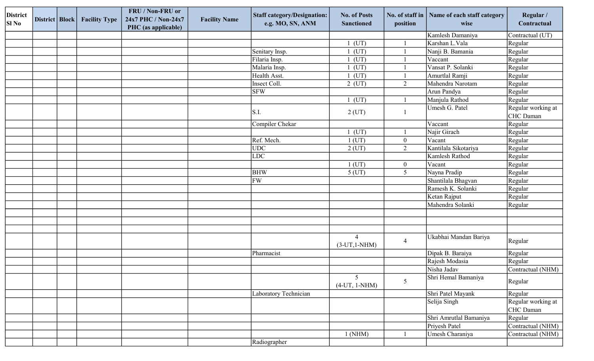| <b>District</b><br><b>SI No</b> | District   Block | <b>Facility Type</b> | FRU / Non-FRU or<br>24x7 PHC / Non-24x7<br>PHC (as applicable) | <b>Facility Name</b> | <b>Staff category/Designation:</b><br>e.g. MO, SN, ANM | <b>No. of Posts</b><br><b>Sanctioned</b> | No. of staff in<br>position | Name of each staff category<br>wise | Regular /<br>Contractual               |
|---------------------------------|------------------|----------------------|----------------------------------------------------------------|----------------------|--------------------------------------------------------|------------------------------------------|-----------------------------|-------------------------------------|----------------------------------------|
|                                 |                  |                      |                                                                |                      |                                                        |                                          |                             | Kamlesh Damaniya                    | Contractual (UT)                       |
|                                 |                  |                      |                                                                |                      |                                                        | $1$ (UT)                                 |                             | Karshan L.Vala                      | Regular                                |
|                                 |                  |                      |                                                                |                      | Senitary Insp.                                         | $1$ (UT)                                 |                             | Nanji B. Bamania                    | Regular                                |
|                                 |                  |                      |                                                                |                      | Filaria Insp.                                          | $1$ (UT)                                 |                             | Vaccant                             | Regular                                |
|                                 |                  |                      |                                                                |                      | Malaria Insp.                                          | $1$ (UT)                                 |                             | Vansat P. Solanki                   | Regular                                |
|                                 |                  |                      |                                                                |                      | Health Asst.                                           | $1$ (UT)                                 |                             | Amurtlal Ramji                      | Regular                                |
|                                 |                  |                      |                                                                |                      | Insect Coll.                                           | $2$ (UT)                                 | $\overline{2}$              | Mahendra Narotam                    | Regular                                |
|                                 |                  |                      |                                                                |                      | <b>SFW</b>                                             |                                          |                             | Arun Pandya                         | Regular                                |
|                                 |                  |                      |                                                                |                      |                                                        | $1$ (UT)                                 |                             | Manjula Rathod                      | Regular                                |
|                                 |                  |                      |                                                                |                      | $\vert S.I. \vert$                                     | $2$ (UT)                                 | -1                          | Umesh G. Patel                      | Regular working at<br><b>CHC</b> Daman |
|                                 |                  |                      |                                                                |                      | Compiler Chekar                                        |                                          |                             | Vaccant                             | Regular                                |
|                                 |                  |                      |                                                                |                      |                                                        | $1$ (UT)                                 |                             | Najir Girach                        | Regular                                |
|                                 |                  |                      |                                                                |                      | Ref. Mech.                                             | $1$ (UT)                                 | $\boldsymbol{0}$            | Vacant                              | Regular                                |
|                                 |                  |                      |                                                                |                      | UDC                                                    | $2$ (UT)                                 | $\overline{2}$              | Kantilala Sikotariya                | Regular                                |
|                                 |                  |                      |                                                                |                      | LDC                                                    |                                          |                             | Kamlesh Rathod                      | Regular                                |
|                                 |                  |                      |                                                                |                      |                                                        | $1$ (UT)                                 | $\boldsymbol{0}$            | Vacant                              | Regular                                |
|                                 |                  |                      |                                                                |                      | <b>BHW</b>                                             | $5$ (UT)                                 | 5                           | Nayna Pradip                        | Regular                                |
|                                 |                  |                      |                                                                |                      | FW                                                     |                                          |                             | Shantilala Bhagvan                  | Regular                                |
|                                 |                  |                      |                                                                |                      |                                                        |                                          |                             | Ramesh K. Solanki                   | Regular                                |
|                                 |                  |                      |                                                                |                      |                                                        |                                          |                             | Ketan Rajput                        | Regular                                |
|                                 |                  |                      |                                                                |                      |                                                        |                                          |                             | Mahendra Solanki                    | Regular                                |
|                                 |                  |                      |                                                                |                      |                                                        |                                          |                             |                                     |                                        |
|                                 |                  |                      |                                                                |                      |                                                        |                                          |                             |                                     |                                        |
|                                 |                  |                      |                                                                |                      |                                                        |                                          |                             |                                     |                                        |
|                                 |                  |                      |                                                                |                      |                                                        | $\overline{4}$<br>$(3-UT,1-NHM)$         | $\overline{4}$              | Ukabhai Mandan Bariya               | Regular                                |
|                                 |                  |                      |                                                                |                      | Pharmacist                                             |                                          |                             | Dipak B. Baraiya                    | Regular                                |
|                                 |                  |                      |                                                                |                      |                                                        |                                          |                             | Rajesh Modasia                      | Regular                                |
|                                 |                  |                      |                                                                |                      |                                                        |                                          |                             | Nisha Jadav                         | Contractual (NHM)                      |
|                                 |                  |                      |                                                                |                      |                                                        | 5 <sup>5</sup><br>$(4-UT, 1-NHM)$        | 5                           | Shri Hemal Bamaniya                 | Regular                                |
|                                 |                  |                      |                                                                |                      | Laboratory Technician                                  |                                          |                             | Shri Patel Mayank                   | Regular                                |
|                                 |                  |                      |                                                                |                      |                                                        |                                          |                             | Selija Singh                        | Regular working at<br>CHC Daman        |
|                                 |                  |                      |                                                                |                      |                                                        |                                          |                             | Shri Amrutlal Bamaniya              | Regular                                |
|                                 |                  |                      |                                                                |                      |                                                        |                                          |                             | Priyesh Patel                       | Contractual (NHM)                      |
|                                 |                  |                      |                                                                |                      |                                                        | $1$ (NHM)                                |                             | Umesh Charaniya                     | Contractual (NHM)                      |
|                                 |                  |                      |                                                                |                      | Radiographer                                           |                                          |                             |                                     |                                        |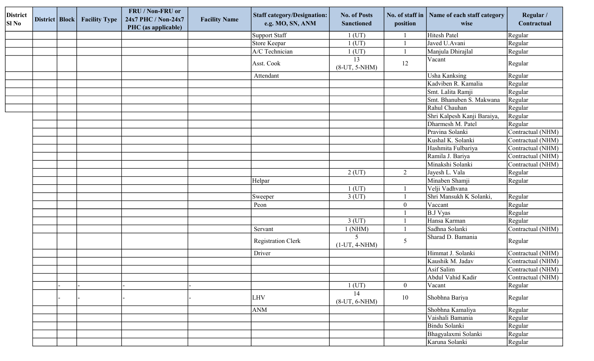| <b>District</b><br>$SI$ No | District   Block | <b>Facility Type</b> | FRU / Non-FRU or<br>24x7 PHC / Non-24x7<br>PHC (as applicable) | <b>Facility Name</b> | <b>Staff category/Designation:</b><br>e.g. MO, SN, ANM | <b>No. of Posts</b><br><b>Sanctioned</b> | No. of staff in<br>position | Name of each staff category<br>wise | Regular /<br>Contractual |
|----------------------------|------------------|----------------------|----------------------------------------------------------------|----------------------|--------------------------------------------------------|------------------------------------------|-----------------------------|-------------------------------------|--------------------------|
|                            |                  |                      |                                                                |                      | Support Staff                                          | $1$ (UT)                                 |                             | <b>Hitesh Patel</b>                 | Regular                  |
|                            |                  |                      |                                                                |                      | Store Keepar                                           | $1$ (UT)                                 |                             | Javed U.Avani                       | Regular                  |
|                            |                  |                      |                                                                |                      | A/C Technician                                         | $1$ (UT)                                 |                             | Manjula Dhirajlal                   | Regular                  |
|                            |                  |                      |                                                                |                      | Asst. Cook                                             | 13<br>$(8-UT, 5-NHM)$                    | 12                          | Vacant                              | Regular                  |
|                            |                  |                      |                                                                |                      | Attendant                                              |                                          |                             | Usha Kanksing                       | Regular                  |
|                            |                  |                      |                                                                |                      |                                                        |                                          |                             | Kadviben R. Kamalia                 | Regular                  |
|                            |                  |                      |                                                                |                      |                                                        |                                          |                             | Smt. Lalita Ramji                   | Regular                  |
|                            |                  |                      |                                                                |                      |                                                        |                                          |                             | Smt. Bhanuben S. Makwana            | Regular                  |
|                            |                  |                      |                                                                |                      |                                                        |                                          |                             | Rahul Chauhan                       | Regular                  |
|                            |                  |                      |                                                                |                      |                                                        |                                          |                             | Shri Kalpesh Kanji Baraiya,         | Regular                  |
|                            |                  |                      |                                                                |                      |                                                        |                                          |                             | Dharmesh M. Patel                   | Regular                  |
|                            |                  |                      |                                                                |                      |                                                        |                                          |                             | Pravina Solanki                     | Contractual (NHM)        |
|                            |                  |                      |                                                                |                      |                                                        |                                          |                             | Kushal K. Solanki                   | Contractual (NHM)        |
|                            |                  |                      |                                                                |                      |                                                        |                                          |                             | Hashmita Fulbariya                  | Contractual (NHM)        |
|                            |                  |                      |                                                                |                      |                                                        |                                          |                             | Ramila J. Bariya                    | Contractual (NHM)        |
|                            |                  |                      |                                                                |                      |                                                        |                                          |                             | Minakshi Solanki                    | Contractual (NHM)        |
|                            |                  |                      |                                                                |                      |                                                        | $2$ (UT)                                 | $\overline{2}$              | Jayesh L. Vala                      | Regular                  |
|                            |                  |                      |                                                                |                      | Helpar                                                 |                                          |                             | Minaben Shamji                      | Regular                  |
|                            |                  |                      |                                                                |                      |                                                        | $1$ (UT)                                 |                             | Velji Vadhvana                      |                          |
|                            |                  |                      |                                                                |                      | Sweeper                                                | $3$ (UT)                                 |                             | Shri Mansukh K Solanki,             | Regular                  |
|                            |                  |                      |                                                                |                      | Peon                                                   |                                          | $\boldsymbol{0}$            | Vaccant                             | Regular                  |
|                            |                  |                      |                                                                |                      |                                                        |                                          |                             | <b>B.J Vyas</b>                     | Regular                  |
|                            |                  |                      |                                                                |                      |                                                        | $3$ (UT)                                 |                             | Hansa Karman                        | Regular                  |
|                            |                  |                      |                                                                |                      | Servant                                                | $1$ (NHM)                                |                             | Sadhna Solanki                      | Contractual (NHM)        |
|                            |                  |                      |                                                                |                      | <b>Registration Clerk</b>                              | 5<br>$(1-UT, 4-NHM)$                     | 5                           | Sharad D. Bamania                   | Regular                  |
|                            |                  |                      |                                                                |                      | Driver                                                 |                                          |                             | Himmat J. Solanki                   | Contractual (NHM)        |
|                            |                  |                      |                                                                |                      |                                                        |                                          |                             | Kaushik M. Jadav                    | Contractual (NHM)        |
|                            |                  |                      |                                                                |                      |                                                        |                                          |                             | Asif Salim                          | Contractual (NHM)        |
|                            |                  |                      |                                                                |                      |                                                        |                                          |                             | Abdul Vahid Kadir                   | Contractual (NHM)        |
|                            |                  |                      |                                                                |                      |                                                        | $1$ (UT)                                 | $\mathbf{0}$                | Vacant                              | Regular                  |
|                            |                  |                      |                                                                |                      | <b>LHV</b>                                             | 14<br>$(8-UT, 6-NHM)$                    | 10                          | Shobhna Bariya                      | Regular                  |
|                            |                  |                      |                                                                |                      | <b>ANM</b>                                             |                                          |                             | Shobhna Kamaliya                    | Regular                  |
|                            |                  |                      |                                                                |                      |                                                        |                                          |                             | Vaishali Bamania                    | Regular                  |
|                            |                  |                      |                                                                |                      |                                                        |                                          |                             | Bindu Solanki                       | Regular                  |
|                            |                  |                      |                                                                |                      |                                                        |                                          |                             | Bhagyalaxmi Solanki                 | Regular                  |
|                            |                  |                      |                                                                |                      |                                                        |                                          |                             | Karuna Solanki                      | Regular                  |